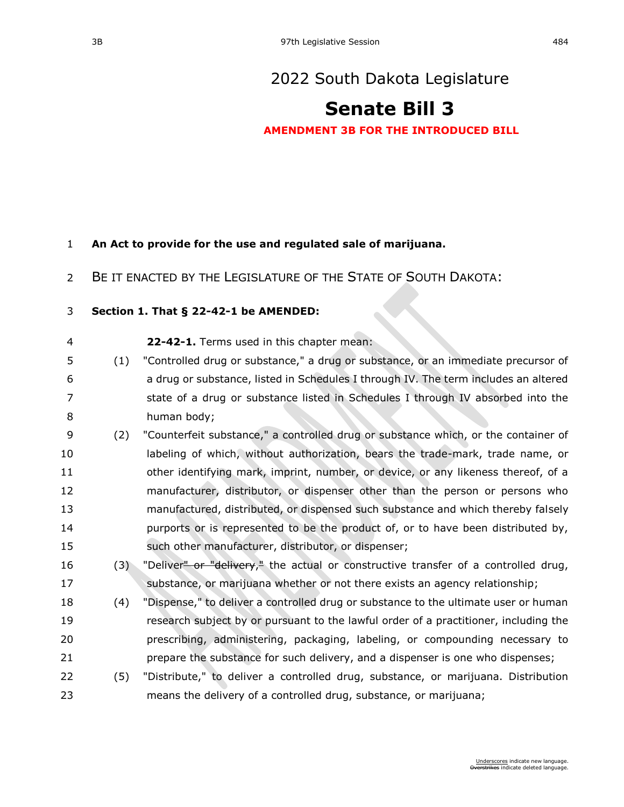# [2022 South Dakota Legislature](https://sdlegislature.gov/Session/Bills/64)

# **[Senate Bill 3](https://sdlegislature.gov/Session/Bill/22615)**

**AMENDMENT 3B FOR THE INTRODUCED BILL**

### **An Act to provide for the use and regulated sale of marijuana.**

BE IT ENACTED BY THE LEGISLATURE OF THE STATE OF SOUTH DAKOTA:

### **Section 1. [That § 22-42-1 be AMENDED:](https://sdlegislature.gov/Statutes?Statute=22-42-1)**

- **[22-42-1.](https://sdlegislature.gov/Statutes/Codified_Laws/DisplayStatute.aspx?Type=Statute&Statute=22-42-1)** Terms used in this chapter mean:
- (1) "Controlled drug or substance," a drug or substance, or an immediate precursor of a drug or substance, listed in Schedules I through IV. The term includes an altered 7 state of a drug or substance listed in Schedules I through IV absorbed into the human body;
- (2) "Counterfeit substance," a controlled drug or substance which, or the container of labeling of which, without authorization, bears the trade-mark, trade name, or other identifying mark, imprint, number, or device, or any likeness thereof, of a manufacturer, distributor, or dispenser other than the person or persons who manufactured, distributed, or dispensed such substance and which thereby falsely purports or is represented to be the product of, or to have been distributed by, such other manufacturer, distributor, or dispenser;
- 16 (3) "Deliver<del>" or "delivery</del>," the actual or constructive transfer of a controlled drug, substance, or marijuana whether or not there exists an agency relationship;
- (4) "Dispense," to deliver a controlled drug or substance to the ultimate user or human research subject by or pursuant to the lawful order of a practitioner, including the prescribing, administering, packaging, labeling, or compounding necessary to prepare the substance for such delivery, and a dispenser is one who dispenses;
- (5) "Distribute," to deliver a controlled drug, substance, or marijuana. Distribution means the delivery of a controlled drug, substance, or marijuana;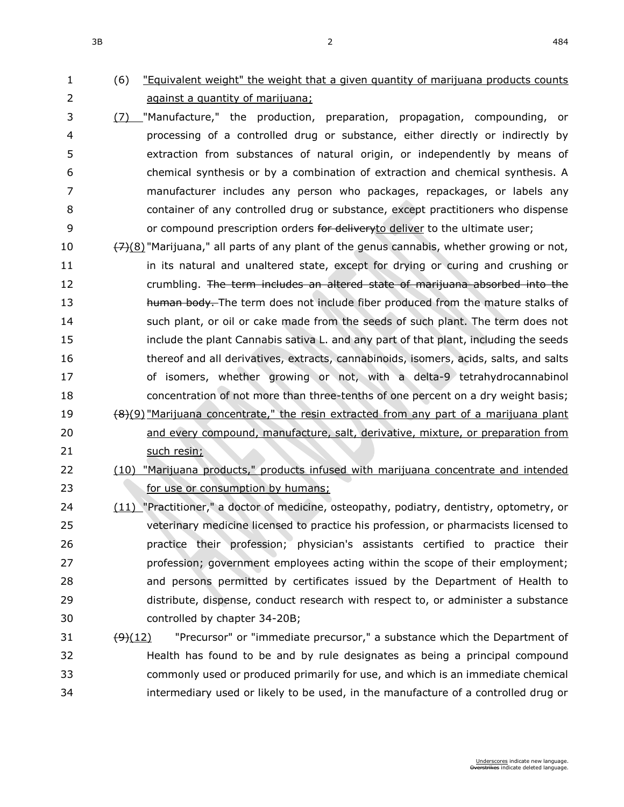# (6) "Equivalent weight" the weight that a given quantity of marijuana products counts against a quantity of marijuana;

- (7) "Manufacture," the production, preparation, propagation, compounding, or processing of a controlled drug or substance, either directly or indirectly by extraction from substances of natural origin, or independently by means of chemical synthesis or by a combination of extraction and chemical synthesis. A manufacturer includes any person who packages, repackages, or labels any container of any controlled drug or substance, except practitioners who dispense 9 or compound prescription orders for deliveryto deliver to the ultimate user;
- 10  $\frac{7}{2}(8)$  "Marijuana," all parts of any plant of the genus cannabis, whether growing or not, 11 in its natural and unaltered state, except for drying or curing and crushing or crumbling. The term includes an altered state of marijuana absorbed into the 13 human body. The term does not include fiber produced from the mature stalks of such plant, or oil or cake made from the seeds of such plant. The term does not include the plant Cannabis sativa L. and any part of that plant, including the seeds thereof and all derivatives, extracts, cannabinoids, isomers, acids, salts, and salts of isomers, whether growing or not, with a delta-9 tetrahydrocannabinol concentration of not more than three-tenths of one percent on a dry weight basis; 19  $\left(8\right)(9)$  "Marijuana concentrate," the resin extracted from any part of a marijuana plant and every compound, manufacture, salt, derivative, mixture, or preparation from 21 such resin;
- (10) "Marijuana products," products infused with marijuana concentrate and intended *consumption by humans;* for use or consumption by humans;
- (11) "Practitioner," a doctor of medicine, osteopathy, podiatry, dentistry, optometry, or veterinary medicine licensed to practice his profession, or pharmacists licensed to practice their profession; physician's assistants certified to practice their profession; government employees acting within the scope of their employment; and persons permitted by certificates issued by the Department of Health to distribute, dispense, conduct research with respect to, or administer a substance controlled by chapter [34-20B;](https://sdlegislature.gov/Statutes/Codified_Laws/DisplayStatute.aspx?Type=Statute&Statute=34-20B)
- 31  $\left(\frac{9}{12}\right)$  "Precursor" or "immediate precursor," a substance which the Department of Health has found to be and by rule designates as being a principal compound commonly used or produced primarily for use, and which is an immediate chemical intermediary used or likely to be used, in the manufacture of a controlled drug or

 $3B$  and  $2$  and  $484$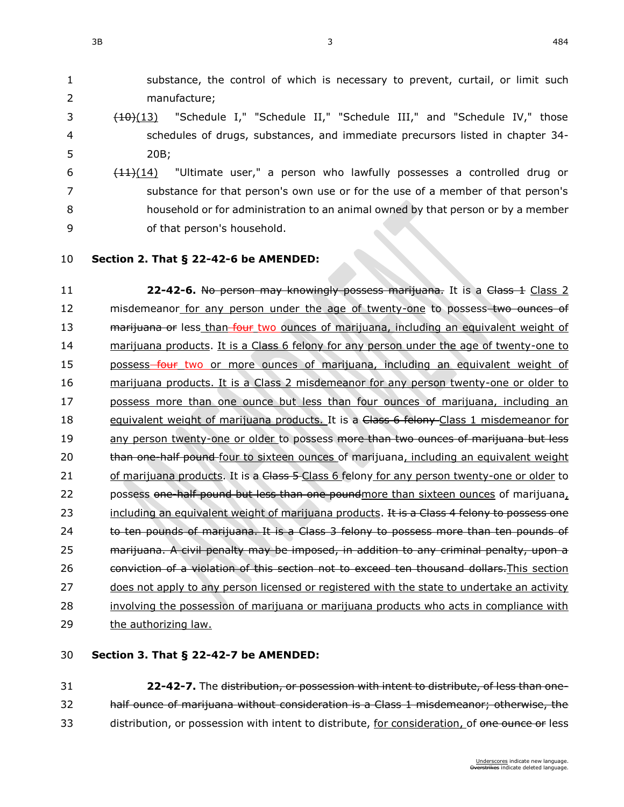1 substance, the control of which is necessary to prevent, curtail, or limit such 2 manufacture;

- 3 (10)(13) "Schedule I," "Schedule II," "Schedule III," and "Schedule IV," those 4 schedules of drugs, substances, and immediate precursors listed in chapter [34-](https://sdlegislature.gov/Statutes/Codified_Laws/DisplayStatute.aspx?Type=Statute&Statute=34-20B) 5 [20B;](https://sdlegislature.gov/Statutes/Codified_Laws/DisplayStatute.aspx?Type=Statute&Statute=34-20B)
- 6  $\left(11\right)(14)$  "Ultimate user," a person who lawfully possesses a controlled drug or 7 substance for that person's own use or for the use of a member of that person's 8 household or for administration to an animal owned by that person or by a member 9 of that person's household.
- 

### 10 **Section 2. [That § 22-42-6 be AMENDED:](https://sdlegislature.gov/Statutes?Statute=22-42-6)**

11 **22-42-6.** No person may knowingly possess marijuana. It is a Class 1 Class 2 12 misdemeanor for any person under the age of twenty-one to possess two ounces of 13 marijuana or less than four two ounces of marijuana, including an equivalent weight of 14 marijuana products. It is a Class 6 felony for any person under the age of twenty-one to 15 possess four two or more ounces of marijuana, including an equivalent weight of 16 marijuana products. It is a Class 2 misdemeanor for any person twenty-one or older to 17 possess more than one ounce but less than four ounces of marijuana, including an 18 equivalent weight of marijuana products. It is a Class 6 felony Class 1 misdemeanor for 19 any person twenty-one or older to possess more than two ounces of marijuana but less 20 than one-half pound four to sixteen ounces of marijuana, including an equivalent weight 21 of marijuana products. It is a Class 5-Class 6 felony for any person twenty-one or older to 22 possess one half pound but less than one poundmore than sixteen ounces of marijuana, 23 including an equivalent weight of marijuana products. It is a Class 4 felony to possess one 24 to ten pounds of marijuana. It is a Class 3 felony to possess more than ten pounds of 25 marijuana. A civil penalty may be imposed, in addition to any criminal penalty, upon a 26 conviction of a violation of this section not to exceed ten thousand dollars. This section 27 does not apply to any person licensed or registered with the state to undertake an activity 28 involving the possession of marijuana or marijuana products who acts in compliance with 29 the authorizing law.

### 30 **Section 3. [That § 22-42-7 be AMENDED:](https://sdlegislature.gov/Statutes?Statute=22-42-7)**

31 **[22-42-7.](https://sdlegislature.gov/Statutes/Codified_Laws/DisplayStatute.aspx?Type=Statute&Statute=22-42-7)** The distribution, or possession with intent to distribute, of less than one-32 half ounce of marijuana without consideration is a Class 1 misdemeanor; otherwise, the 33 distribution, or possession with intent to distribute, for consideration, of one ounce or less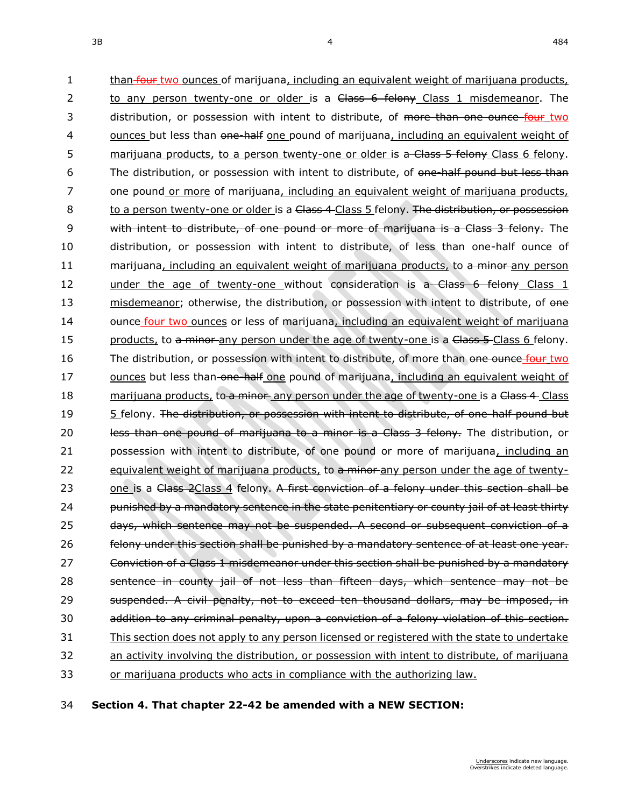1 than four two ounces of marijuana, including an equivalent weight of marijuana products, 2 to any person twenty-one or older is a Class 6 felony Class 1 misdemeanor. The 3 distribution, or possession with intent to distribute, of more than one ounce four two 4 ounces but less than one-half one pound of marijuana, including an equivalent weight of 5 marijuana products, to a person twenty-one or older is a-Class 5 felony Class 6 felony. 6 The distribution, or possession with intent to distribute, of one-half pound but less than 7 one pound or more of marijuana, including an equivalent weight of marijuana products, 8 to a person twenty-one or older is a Class 4-Class 5 felony. The distribution, or possession 9 with intent to distribute, of one pound or more of marijuana is a Class 3 felony. The 10 distribution, or possession with intent to distribute, of less than one-half ounce of 11 marijuana, including an equivalent weight of marijuana products, to a minor any person 12 under the age of twenty-one without consideration is a Class 6 felony Class 1 13 misdemeanor; otherwise, the distribution, or possession with intent to distribute, of one 14 ounce four two ounces or less of marijuana, including an equivalent weight of marijuana 15 products, to a minor any person under the age of twenty-one is a Class 5-Class 6 felony. 16 The distribution, or possession with intent to distribute, of more than one ounce four two 17 ounces but less than one half one pound of marijuana, including an equivalent weight of 18 marijuana products, to a minor any person under the age of twenty-one is a Class 4 Class 19 5 felony. The distribution, or possession with intent to distribute, of one-half pound but 20 less than one pound of marijuana to a minor is a Class 3 felony. The distribution, or 21 possession with intent to distribute, of one pound or more of marijuana, including an 22 equivalent weight of marijuana products, to a minor any person under the age of twenty-23 one is a Class 2Class 4 felony. A first conviction of a felony under this section shall be 24 bunished by a mandatory sentence in the state penitentiary or county jail of at least thirty 25 days, which sentence may not be suspended. A second or subsequent conviction of a 26 felony under this section shall be punished by a mandatory sentence of at least one year. 27 Conviction of a Class 1 misdemeanor under this section shall be punished by a mandatory 28 sentence in county jail of not less than fifteen days, which sentence may not be 29 suspended. A civil penalty, not to exceed ten thousand dollars, may be imposed, in 30 addition to any criminal penalty, upon a conviction of a felony violation of this section. 31 This section does not apply to any person licensed or registered with the state to undertake 32 an activity involving the distribution, or possession with intent to distribute, of marijuana 33 or marijuana products who acts in compliance with the authorizing law.

34 **Section 4. That chapter [22-42](https://sdlegislature.gov/Statutes?Statute=22-42) be amended with a NEW SECTION:**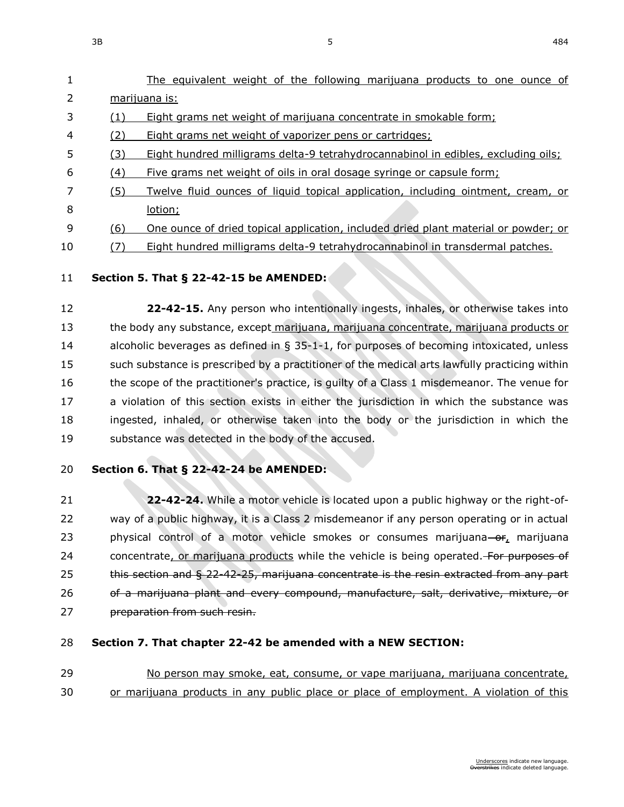| 1              |     | The equivalent weight of the following marijuana products to one ounce of               |
|----------------|-----|-----------------------------------------------------------------------------------------|
| 2              |     | marijuana is:                                                                           |
| 3              |     | Eight grams net weight of marijuana concentrate in smokable form;                       |
| $\overline{4}$ | (2) | Eight grams net weight of vaporizer pens or cartridges;                                 |
| 5              | (3) | Eight hundred milligrams delta-9 tetrahydrocannabinol in edibles, excluding oils;       |
| 6              | (4) | Five grams net weight of oils in oral dosage syringe or capsule form;                   |
|                | (5) | <u>Twelve fluid ounces of liquid topical application, including ointment, cream, or</u> |
| 8              |     | lotion;                                                                                 |

- 9 (6) One ounce of dried topical application, included dried plant material or powder; or
- 10 (7) Eight hundred milligrams delta-9 tetrahydrocannabinol in transdermal patches.

### 11 **Section 5. [That § 22-42-15 be AMENDED:](https://sdlegislature.gov/Statutes?Statute=22-42-15)**

 **[22-42-15.](https://sdlegislature.gov/Statutes/Codified_Laws/DisplayStatute.aspx?Type=Statute&Statute=22-42-15)** Any person who intentionally ingests, inhales, or otherwise takes into the body any substance, except marijuana, marijuana concentrate, marijuana products or alcoholic beverages as defined in § [35-1-1,](https://sdlegislature.gov/Statutes/Codified_Laws/DisplayStatute.aspx?Type=Statute&Statute=35-1-1) for purposes of becoming intoxicated, unless 15 such substance is prescribed by a practitioner of the medical arts lawfully practicing within 16 the scope of the practitioner's practice, is guilty of a Class 1 misdemeanor. The venue for a violation of this section exists in either the jurisdiction in which the substance was ingested, inhaled, or otherwise taken into the body or the jurisdiction in which the substance was detected in the body of the accused.

### 20 **Section 6. [That § 22-42-24 be AMENDED:](https://sdlegislature.gov/Statutes?Statute=22-42-24)**

21 **[22-42-24.](https://sdlegislature.gov/Statutes/Codified_Laws/DisplayStatute.aspx?Type=Statute&Statute=22-42-24)** While a motor vehicle is located upon a public highway or the right-of-22 way of a public highway, it is a Class 2 misdemeanor if any person operating or in actual 23 physical control of a motor vehicle smokes or consumes marijuana- $\sigma_{f}$  marijuana 24 concentrate, or marijuana products while the vehicle is being operated. For purposes of 25 this section and § [22-42-25,](https://sdlegislature.gov/Statutes?Statute=22-42-25) marijuana concentrate is the resin extracted from any part 26 of a marijuana plant and every compound, manufacture, salt, derivative, mixture, or 27 preparation from such resin.

### 28 **Section 7. That chapter [22-42](https://sdlegislature.gov/Statutes?Statute=22-42) be amended with a NEW SECTION:**

29 No person may smoke, eat, consume, or vape marijuana, marijuana concentrate, 30 or marijuana products in any public place or place of employment. A violation of this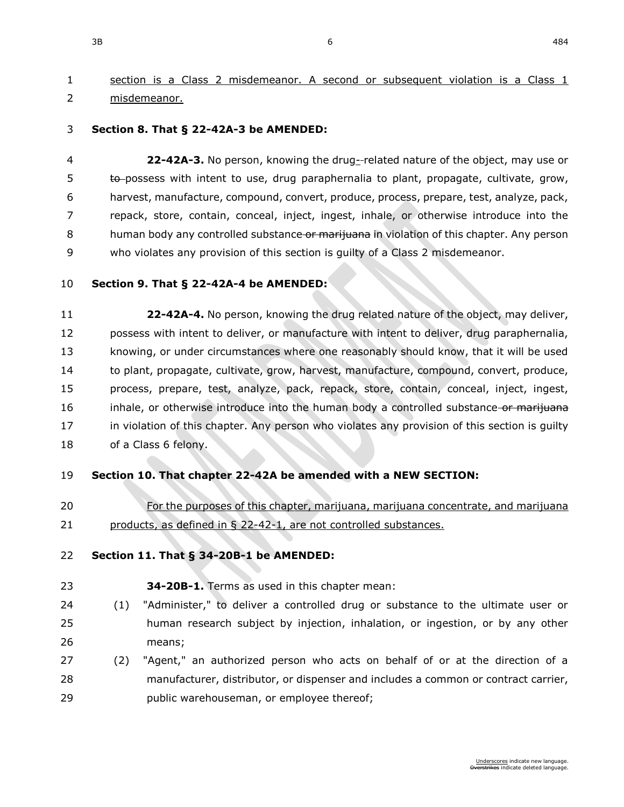# section is a Class 2 misdemeanor. A second or subsequent violation is a Class 1 misdemeanor.

#### **Section 8. [That § 22-42A-3 be AMENDED:](https://sdlegislature.gov/Statutes?Statute=22-42A-3)**

 **[22-42A-3.](https://sdlegislature.gov/Statutes/Codified_Laws/DisplayStatute.aspx?Type=Statute&Statute=22-42A-3)** No person, knowing the drug- related nature of the object, may use or 5 to possess with intent to use, drug paraphernalia to plant, propagate, cultivate, grow, harvest, manufacture, compound, convert, produce, process, prepare, test, analyze, pack, repack, store, contain, conceal, inject, ingest, inhale, or otherwise introduce into the 8 human body any controlled substance or marijuana in violation of this chapter. Any person who violates any provision of this section is guilty of a Class 2 misdemeanor.

#### **Section 9. [That § 22-42A-4 be AMENDED:](https://sdlegislature.gov/Statutes?Statute=22-42A-4)**

 **[22-42A-4.](https://sdlegislature.gov/Statutes/Codified_Laws/DisplayStatute.aspx?Type=Statute&Statute=22-42A-4)** No person, knowing the drug related nature of the object, may deliver, possess with intent to deliver, or manufacture with intent to deliver, drug paraphernalia, knowing, or under circumstances where one reasonably should know, that it will be used to plant, propagate, cultivate, grow, harvest, manufacture, compound, convert, produce, process, prepare, test, analyze, pack, repack, store, contain, conceal, inject, ingest, 16 inhale, or otherwise introduce into the human body a controlled substance or marijuana 17 in violation of this chapter. Any person who violates any provision of this section is guilty 18 of a Class 6 felony.

### **Section 10. That chapter [22-42A](https://sdlegislature.gov/Statutes?Statute=22-42A) be amended with a NEW SECTION:**

 For the purposes of this chapter, marijuana, marijuana concentrate, and marijuana products, as defined in § [22-42-1,](https://sdlegislature.gov/Statutes?Statute=22-42-1) are not controlled substances.

#### **Section 11. [That § 34-20B-1 be AMENDED:](https://sdlegislature.gov/Statutes?Statute=34-20B-1)**

**[34-20B-1.](https://sdlegislature.gov/Statutes/Codified_Laws/DisplayStatute.aspx?Type=Statute&Statute=34-20B-1)** Terms as used in this chapter mean:

- (1) "Administer," to deliver a controlled drug or substance to the ultimate user or human research subject by injection, inhalation, or ingestion, or by any other means;
- (2) "Agent," an authorized person who acts on behalf of or at the direction of a manufacturer, distributor, or dispenser and includes a common or contract carrier, public warehouseman, or employee thereof;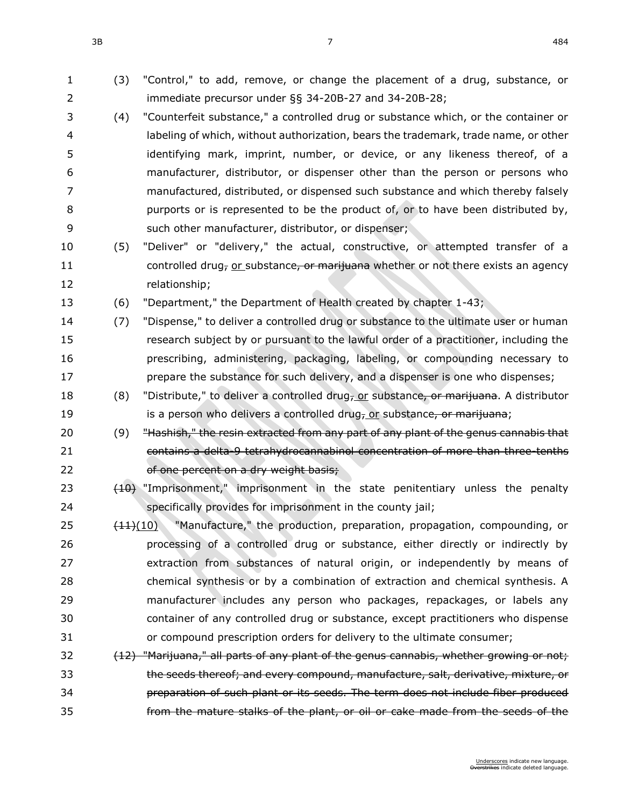- (3) "Control," to add, remove, or change the placement of a drug, substance, or immediate precursor under §§ [34-20B-27](https://sdlegislature.gov/Statutes/Codified_Laws/DisplayStatute.aspx?Type=Statute&Statute=34-20B-27) and [34-20B-28;](https://sdlegislature.gov/Statutes/Codified_Laws/DisplayStatute.aspx?Type=Statute&Statute=34-20B-28)
- (4) "Counterfeit substance," a controlled drug or substance which, or the container or labeling of which, without authorization, bears the trademark, trade name, or other identifying mark, imprint, number, or device, or any likeness thereof, of a manufacturer, distributor, or dispenser other than the person or persons who manufactured, distributed, or dispensed such substance and which thereby falsely **purports or is represented to be the product of, or to have been distributed by,** such other manufacturer, distributor, or dispenser;
- (5) "Deliver" or "delivery," the actual, constructive, or attempted transfer of a 11 controlled drug<sub>r</sub> or substance, or marijuana whether or not there exists an agency relationship;
- (6) "Department," the Department of Health created by chapter [1-43;](https://sdlegislature.gov/Statutes/Codified_Laws/DisplayStatute.aspx?Type=Statute&Statute=1-43)
- (7) "Dispense," to deliver a controlled drug or substance to the ultimate user or human research subject by or pursuant to the lawful order of a practitioner, including the prescribing, administering, packaging, labeling, or compounding necessary to **prepare the substance for such delivery, and a dispenser is one who dispenses;**
- 18 (8) "Distribute," to deliver a controlled drug<sub> $7$ </sub> or substance, or marijuana. A distributor 19 is a person who delivers a controlled drug<sub>7</sub> or substance, or marituana;
- 20 (9) <del>"Hashish," the resin extracted from any part of any plant of the genus cannabis that</del> contains a delta-9 tetrahydrocannabinol concentration of more than three-tenths 22 of one percent on a dry weight basis;
- 23 (10) "Imprisonment," imprisonment in the state penitentiary unless the penalty specifically provides for imprisonment in the county jail;
- 25  $(11)(10)$  "Manufacture," the production, preparation, propagation, compounding, or processing of a controlled drug or substance, either directly or indirectly by extraction from substances of natural origin, or independently by means of chemical synthesis or by a combination of extraction and chemical synthesis. A manufacturer includes any person who packages, repackages, or labels any container of any controlled drug or substance, except practitioners who dispense or compound prescription orders for delivery to the ultimate consumer;
- 32 (12) "Marijuana," all parts of any plant of the genus cannabis, whether growing or not; the seeds thereof; and every compound, manufacture, salt, derivative, mixture, or preparation of such plant or its seeds. The term does not include fiber produced from the mature stalks of the plant, or oil or cake made from the seeds of the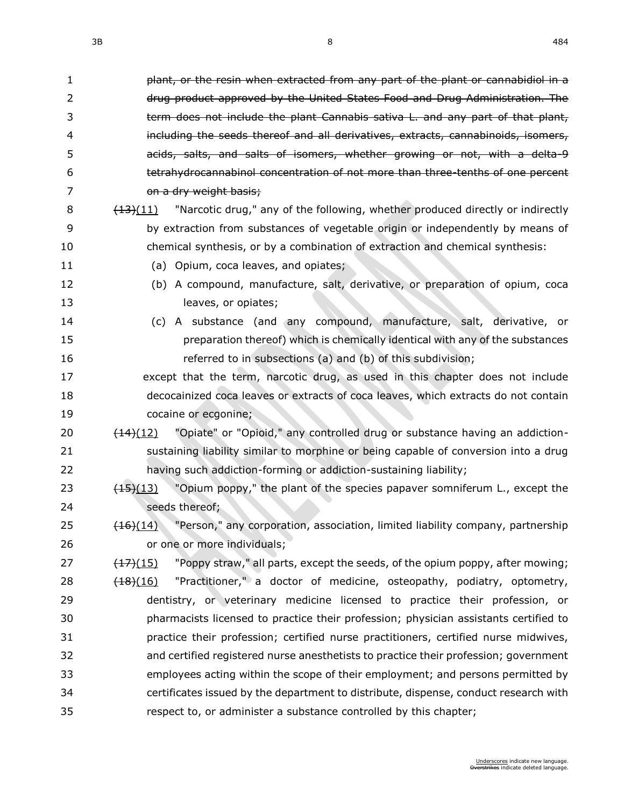| 1  | plant, or the resin when extracted from any part of the plant or cannabidiol in a                      |
|----|--------------------------------------------------------------------------------------------------------|
| 2  | drug product approved by the United States Food and Drug Administration. The                           |
| 3  | term does not include the plant Cannabis sativa L. and any part of that plant,                         |
| 4  | including the seeds thereof and all derivatives, extracts, cannabinoids, isomers,                      |
| 5  | acids, salts, and salts of isomers, whether growing or not, with a delta-9                             |
| 6  | tetrahydrocannabinol concentration of not more than three-tenths of one percent                        |
| 7  | on a dry weight basis;                                                                                 |
| 8  | "Narcotic drug," any of the following, whether produced directly or indirectly<br>$\frac{(13)(11)}{2}$ |
| 9  | by extraction from substances of vegetable origin or independently by means of                         |
| 10 | chemical synthesis, or by a combination of extraction and chemical synthesis:                          |
| 11 | (a) Opium, coca leaves, and opiates;                                                                   |
| 12 | (b) A compound, manufacture, salt, derivative, or preparation of opium, coca                           |
| 13 | leaves, or opiates;                                                                                    |
| 14 | (c) A substance (and any compound, manufacture, salt, derivative, or                                   |
| 15 | preparation thereof) which is chemically identical with any of the substances                          |
| 16 | referred to in subsections (a) and (b) of this subdivision;                                            |
| 17 | except that the term, narcotic drug, as used in this chapter does not include                          |
| 18 | decocainized coca leaves or extracts of coca leaves, which extracts do not contain                     |
| 19 | cocaine or ecgonine;                                                                                   |
| 20 | "Opiate" or "Opioid," any controlled drug or substance having an addiction-<br>$\frac{(14)(12)}{2}$    |
| 21 | sustaining liability similar to morphine or being capable of conversion into a drug                    |
| 22 | having such addiction-forming or addiction-sustaining liability;                                       |
| 23 | "Opium poppy," the plant of the species papaver somniferum L., except the<br>$\left(45\right)(13)$     |
| 24 | seeds thereof;                                                                                         |
| 25 | $(16)(14)$ "Person," any corporation, association, limited liability company, partnership              |
| 26 | or one or more individuals;                                                                            |
| 27 | "Poppy straw," all parts, except the seeds, of the opium poppy, after mowing;<br>$\frac{(17)(15)}{2}$  |
| 28 | "Practitioner," a doctor of medicine, osteopathy, podiatry, optometry,<br>$\frac{(18)(16)}{2}$         |
| 29 | dentistry, or veterinary medicine licensed to practice their profession, or                            |
| 30 | pharmacists licensed to practice their profession; physician assistants certified to                   |
| 31 | practice their profession; certified nurse practitioners, certified nurse midwives,                    |
| 32 | and certified registered nurse anesthetists to practice their profession; government                   |
| 33 | employees acting within the scope of their employment; and persons permitted by                        |
| 34 | certificates issued by the department to distribute, dispense, conduct research with                   |
| 35 | respect to, or administer a substance controlled by this chapter;                                      |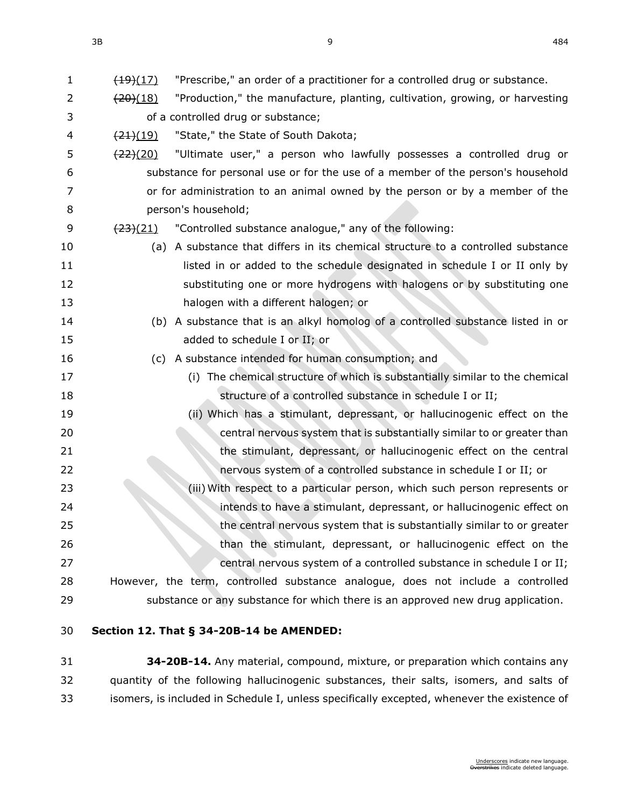| 1  | $\frac{(19)}{(17)}$  | "Prescribe," an order of a practitioner for a controlled drug or substance.      |
|----|----------------------|----------------------------------------------------------------------------------|
| 2  | $\frac{(20)(18)}{2}$ | "Production," the manufacture, planting, cultivation, growing, or harvesting     |
| 3  |                      | of a controlled drug or substance;                                               |
| 4  | $\frac{(21)(19)}{2}$ | "State," the State of South Dakota;                                              |
| 5  | $\frac{(22)(20)}{2}$ | "Ultimate user," a person who lawfully possesses a controlled drug or            |
| 6  |                      | substance for personal use or for the use of a member of the person's household  |
| 7  |                      | or for administration to an animal owned by the person or by a member of the     |
| 8  |                      | person's household;                                                              |
| 9  | $\frac{(23)(21)}{2}$ | "Controlled substance analogue," any of the following:                           |
| 10 |                      | (a) A substance that differs in its chemical structure to a controlled substance |
| 11 |                      | listed in or added to the schedule designated in schedule I or II only by        |
| 12 |                      | substituting one or more hydrogens with halogens or by substituting one          |
| 13 |                      | halogen with a different halogen; or                                             |
| 14 |                      | (b) A substance that is an alkyl homolog of a controlled substance listed in or  |
| 15 |                      | added to schedule I or II; or                                                    |
| 16 |                      | (c) A substance intended for human consumption; and                              |
| 17 |                      | (i) The chemical structure of which is substantially similar to the chemical     |
| 18 |                      | structure of a controlled substance in schedule I or II;                         |
| 19 |                      | (ii) Which has a stimulant, depressant, or hallucinogenic effect on the          |
| 20 |                      | central nervous system that is substantially similar to or greater than          |
| 21 |                      | the stimulant, depressant, or hallucinogenic effect on the central               |
| 22 |                      | nervous system of a controlled substance in schedule I or II; or                 |
| 23 |                      | (iii) With respect to a particular person, which such person represents or       |
| 24 |                      | intends to have a stimulant, depressant, or hallucinogenic effect on             |
| 25 |                      | the central nervous system that is substantially similar to or greater           |
| 26 |                      | than the stimulant, depressant, or hallucinogenic effect on the                  |
| 27 |                      | central nervous system of a controlled substance in schedule I or II;            |
| 28 |                      | However, the term, controlled substance analogue, does not include a controlled  |
| 29 |                      | substance or any substance for which there is an approved new drug application.  |
|    |                      |                                                                                  |

### **Section 12. [That § 34-20B-14 be AMENDED:](https://sdlegislature.gov/Statutes?Statute=34-20B-14)**

 **[34-20B-14.](https://sdlegislature.gov/Statutes?Statute=34-20B-14)** Any material, compound, mixture, or preparation which contains any quantity of the following hallucinogenic substances, their salts, isomers, and salts of isomers, is included in Schedule I, unless specifically excepted, whenever the existence of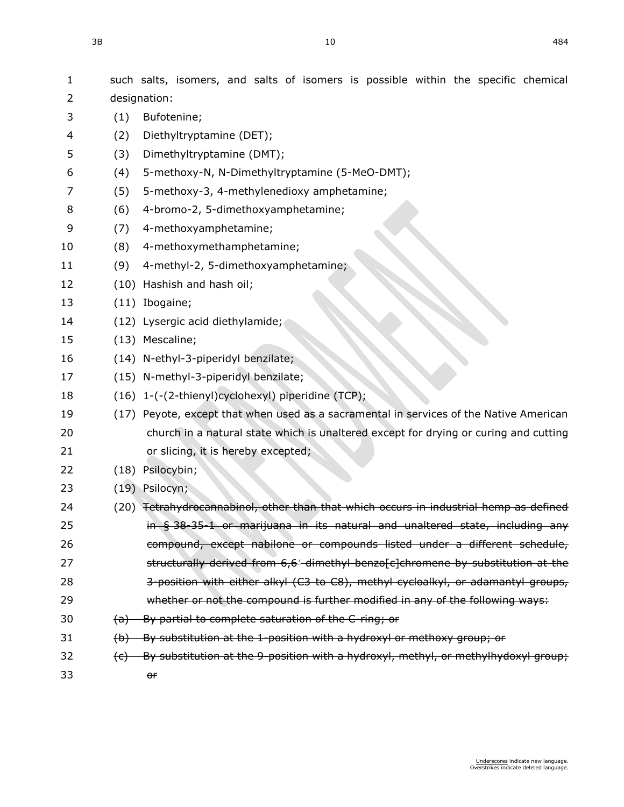| 1  |                         | such salts, isomers, and salts of isomers is possible within the specific chemical               |
|----|-------------------------|--------------------------------------------------------------------------------------------------|
| 2  |                         | designation:                                                                                     |
| 3  | (1)                     | Bufotenine;                                                                                      |
| 4  | (2)                     | Diethyltryptamine (DET);                                                                         |
| 5  | (3)                     | Dimethyltryptamine (DMT);                                                                        |
| 6  | (4)                     | 5-methoxy-N, N-Dimethyltryptamine (5-MeO-DMT);                                                   |
| 7  | (5)                     | 5-methoxy-3, 4-methylenedioxy amphetamine;                                                       |
| 8  | (6)                     | 4-bromo-2, 5-dimethoxyamphetamine;                                                               |
| 9  | (7)                     | 4-methoxyamphetamine;                                                                            |
| 10 | (8)                     | 4-methoxymethamphetamine;                                                                        |
| 11 | (9)                     | 4-methyl-2, 5-dimethoxyamphetamine;                                                              |
| 12 |                         | (10) Hashish and hash oil;                                                                       |
| 13 |                         | (11) Ibogaine;                                                                                   |
| 14 |                         | (12) Lysergic acid diethylamide;                                                                 |
| 15 |                         | (13) Mescaline;                                                                                  |
| 16 |                         | (14) N-ethyl-3-piperidyl benzilate;                                                              |
| 17 |                         | (15) N-methyl-3-piperidyl benzilate;                                                             |
| 18 |                         | (16) 1-(-(2-thienyl)cyclohexyl) piperidine (TCP);                                                |
| 19 |                         | (17) Peyote, except that when used as a sacramental in services of the Native American           |
| 20 |                         | church in a natural state which is unaltered except for drying or curing and cutting             |
| 21 |                         | or slicing, it is hereby excepted;                                                               |
| 22 |                         | (18) Psilocybin;                                                                                 |
| 23 |                         | (19) Psilocyn;                                                                                   |
| 24 |                         | (20) <del>Tetrahydrocannabinol, other than that which occurs in industrial hemp as defined</del> |
| 25 |                         | in § 38-35-1 or marijuana in its natural and unaltered state, including any                      |
| 26 |                         | compound, except nabilone or compounds listed under a different schedule,                        |
| 27 |                         | structurally derived from 6,6' dimethyl benzo[c]chromene by substitution at the                  |
| 28 |                         | 3-position with either alkyl (C3 to C8), methyl cycloalkyl, or adamantyl groups,                 |
| 29 |                         | whether or not the compound is further modified in any of the following ways:                    |
| 30 | <del>(a)</del>          | By partial to complete saturation of the C-ring; or                                              |
| 31 |                         | (b) By substitution at the 1-position with a hydroxyl or methoxy group; or                       |
| 32 | $\left(\epsilon\right)$ | By substitution at the 9-position with a hydroxyl, methyl, or methylhydoxyl group;               |
| 33 |                         | or                                                                                               |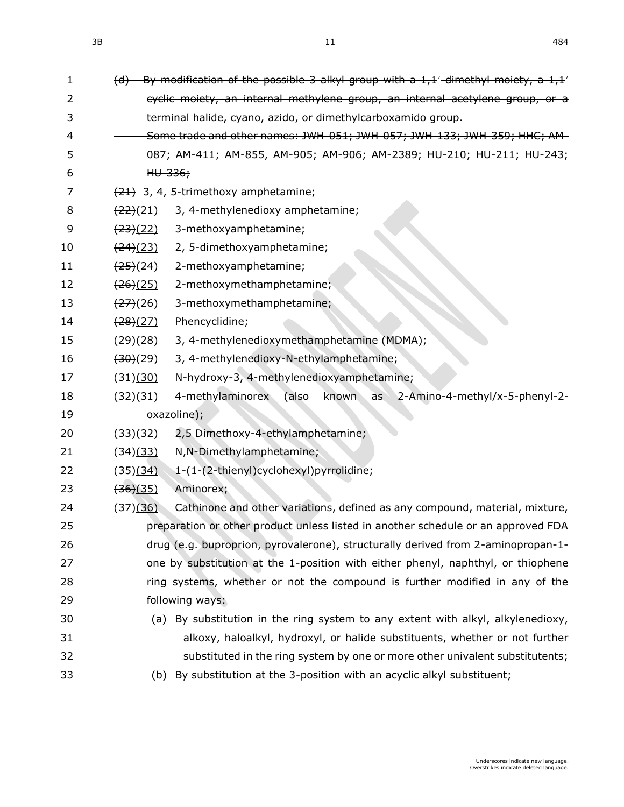| 1  |                                  | (d) By modification of the possible 3-alkyl group with a 1,1' dimethyl moiety, a 1,1' |
|----|----------------------------------|---------------------------------------------------------------------------------------|
| 2  |                                  | cyclic moiety, an internal methylene group, an internal acetylene group, or a         |
| 3  |                                  | terminal halide, cyano, azido, or dimethylcarboxamido group.                          |
| 4  |                                  | Some trade and other names: JWH-051; JWH-057; JWH-133; JWH-359; HHC; AM-              |
| 5  |                                  | 087; AM-411; AM-855, AM-905; AM-906; AM-2389; HU-210; HU-211; HU-243;                 |
| 6  |                                  | HU-336;                                                                               |
| 7  |                                  | $(21)$ 3, 4, 5-trimethoxy amphetamine;                                                |
| 8  | $\frac{(22)(21)}{2}$             | 3, 4-methylenedioxy amphetamine;                                                      |
| 9  | $\frac{(23)(22)}{2}$             | 3-methoxyamphetamine;                                                                 |
| 10 | (24)(23)                         | 2, 5-dimethoxyamphetamine;                                                            |
| 11 | $\frac{(25)(24)}{25}$            | 2-methoxyamphetamine;                                                                 |
| 12 | $\frac{(26)(25)}{2}$             | 2-methoxymethamphetamine;                                                             |
| 13 | $\frac{(27)(26)}{2}$             | 3-methoxymethamphetamine;                                                             |
| 14 | $\frac{(28)(27)}{2}$             | Phencyclidine;                                                                        |
| 15 | <del>(29)</del> (28)             | 3, 4-methylenedioxymethamphetamine (MDMA);                                            |
| 16 | (30)(29)                         | 3, 4-methylenedioxy-N-ethylamphetamine;                                               |
| 17 | (31)(30)                         | N-hydroxy-3, 4-methylenedioxyamphetamine;                                             |
| 18 | $\frac{(32)(31)}{2}$             | 4-methylaminorex<br>2-Amino-4-methyl/x-5-phenyl-2-<br>(also<br>known<br>as            |
| 19 |                                  | oxazoline);                                                                           |
| 20 | $\frac{(33)(32)}{2}$             | 2,5 Dimethoxy-4-ethylamphetamine;                                                     |
| 21 | (34)(33)                         | N, N-Dimethylamphetamine;                                                             |
| 22 | <del>(35)</del> (34)             | 1-(1-(2-thienyl)cyclohexyl)pyrrolidine;                                               |
| 23 | $\left(36\right)\left(35\right)$ | Aminorex;                                                                             |
| 24 | $\left(37\right)(36)$            | Cathinone and other variations, defined as any compound, material, mixture,           |
| 25 |                                  | preparation or other product unless listed in another schedule or an approved FDA     |
| 26 |                                  | drug (e.g. buproprion, pyrovalerone), structurally derived from 2-aminopropan-1-      |
| 27 |                                  | one by substitution at the 1-position with either phenyl, naphthyl, or thiophene      |
| 28 |                                  | ring systems, whether or not the compound is further modified in any of the           |
| 29 |                                  | following ways:                                                                       |
| 30 |                                  | (a) By substitution in the ring system to any extent with alkyl, alkylenedioxy,       |
| 31 |                                  | alkoxy, haloalkyl, hydroxyl, or halide substituents, whether or not further           |
| 32 |                                  | substituted in the ring system by one or more other univalent substitutents;          |
| 33 |                                  | (b) By substitution at the 3-position with an acyclic alkyl substituent;              |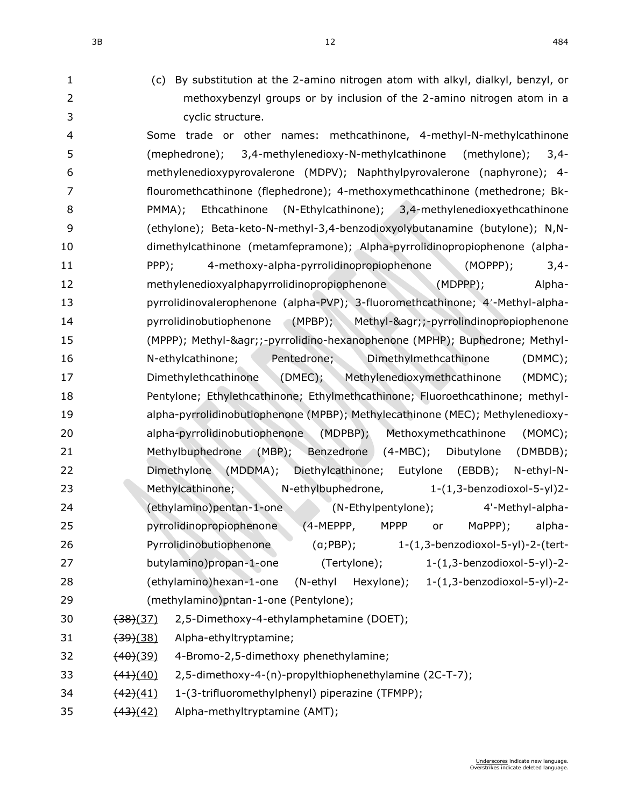- 
- (c) By substitution at the 2-amino nitrogen atom with alkyl, dialkyl, benzyl, or methoxybenzyl groups or by inclusion of the 2-amino nitrogen atom in a cyclic structure.

 Some trade or other names: methcathinone, 4-methyl-N-methylcathinone (mephedrone); 3,4-methylenedioxy-N-methylcathinone (methylone); 3,4- methylenedioxypyrovalerone (MDPV); Naphthylpyrovalerone (naphyrone); 4- flouromethcathinone (flephedrone); 4-methoxymethcathinone (methedrone; Bk- PMMA); Ethcathinone (N-Ethylcathinone); 3,4-methylenedioxyethcathinone (ethylone); Beta-keto-N-methyl-3,4-benzodioxyolybutanamine (butylone); N,N- dimethylcathinone (metamfepramone); Alpha-pyrrolidinopropiophenone (alpha- PPP); 4-methoxy-alpha-pyrrolidinopropiophenone (MOPPP); 3,4- methylenedioxyalphapyrrolidinopropiophenone (MDPPP); Alpha-13 pyrrolidinovalerophenone (alpha-PVP); 3-fluoromethcathinone; 4'-Methyl-alpha- pyrrolidinobutiophenone (MPBP); Methyl-&agr;;-pyrrolindinopropiophenone (MPPP); Methyl-&agr;;-pyrrolidino-hexanophenone (MPHP); Buphedrone; Methyl- N-ethylcathinone; Pentedrone; Dimethylmethcathinone (DMMC); Dimethylethcathinone (DMEC); Methylenedioxymethcathinone (MDMC); Pentylone; Ethylethcathinone; Ethylmethcathinone; Fluoroethcathinone; methyl- alpha-pyrrolidinobutiophenone (MPBP); Methylecathinone (MEC); Methylenedioxy- alpha-pyrrolidinobutiophenone (MDPBP); Methoxymethcathinone (MOMC); Methylbuphedrone (MBP); Benzedrone (4-MBC); Dibutylone (DMBDB); Dimethylone (MDDMA); Diethylcathinone; Eutylone (EBDB); N-ethyl-N- Methylcathinone; N-ethylbuphedrone, 1-(1,3-benzodioxol-5-yl)2- (ethylamino)pentan-1-one (N-Ethylpentylone); 4'-Methyl-alpha- pyrrolidinopropiophenone (4-MEPPP, MPPP or MαPPP); alpha- Pyrrolidinobutiophenone (α;PBP); 1-(1,3-benzodioxol-5-yl)-2-(tert- butylamino)propan-1-one (Tertylone); 1-(1,3-benzodioxol-5-yl)-2- (ethylamino)hexan-1-one (N-ethyl Hexylone); 1-(1,3-benzodioxol-5-yl)-2- (methylamino)pntan-1-one (Pentylone);

- (38)(37) 2,5-Dimethoxy-4-ethylamphetamine (DOET);
- 31 (39)(38) Alpha-ethyltryptamine;
- 32  $(40)(39)$  4-Bromo-2,5-dimethoxy phenethylamine;
- 33 (44)(40) 2,5-dimethoxy-4-(n)-propylthiophenethylamine (2C-T-7);
- 34 (42)(41) 1-(3-trifluoromethylphenyl) piperazine (TFMPP);
- 35  $(43)(42)$  Alpha-methyltryptamine (AMT);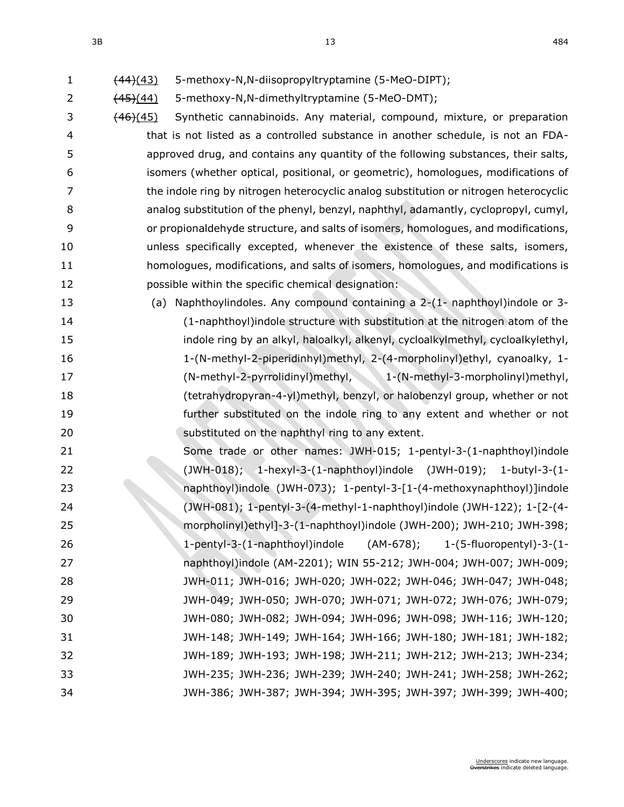2 (45)(44) 5-methoxy-N,N-dimethyltryptamine (5-MeO-DMT);

- 3 (46)(45) Synthetic cannabinoids. Any material, compound, mixture, or preparation that is not listed as a controlled substance in another schedule, is not an FDA- approved drug, and contains any quantity of the following substances, their salts, isomers (whether optical, positional, or geometric), homologues, modifications of the indole ring by nitrogen heterocyclic analog substitution or nitrogen heterocyclic analog substitution of the phenyl, benzyl, naphthyl, adamantly, cyclopropyl, cumyl, or propionaldehyde structure, and salts of isomers, homologues, and modifications, unless specifically excepted, whenever the existence of these salts, isomers, homologues, modifications, and salts of isomers, homologues, and modifications is possible within the specific chemical designation:
- (a) Naphthoylindoles. Any compound containing a 2-(1- naphthoyl)indole or 3- (1-naphthoyl)indole structure with substitution at the nitrogen atom of the indole ring by an alkyl, haloalkyl, alkenyl, cycloalkylmethyl, cycloalkylethyl, 1-(N-methyl-2-piperidinhyl)methyl, 2-(4-morpholinyl)ethyl, cyanoalky, 1- (N-methyl-2-pyrrolidinyl)methyl, 1-(N-methyl-3-morpholinyl)methyl, (tetrahydropyran-4-yl)methyl, benzyl, or halobenzyl group, whether or not further substituted on the indole ring to any extent and whether or not **Substituted on the naphthyl ring to any extent.**
- Some trade or other names: JWH-015; 1-pentyl-3-(1-naphthoyl)indole (JWH-018); 1-hexyl-3-(1-naphthoyl)indole (JWH-019); 1-butyl-3-(1- naphthoyl)indole (JWH-073); 1-pentyl-3-[1-(4-methoxynaphthoyl)]indole (JWH-081); 1-pentyl-3-(4-methyl-1-naphthoyl)indole (JWH-122); 1-[2-(4- morpholinyl)ethyl]-3-(1-naphthoyl)indole (JWH-200); JWH-210; JWH-398; 1-pentyl-3-(1-naphthoyl)indole (AM-678); 1-(5-fluoropentyl)-3-(1- naphthoyl)indole (AM-2201); WIN 55-212; JWH-004; JWH-007; JWH-009; JWH-011; JWH-016; JWH-020; JWH-022; JWH-046; JWH-047; JWH-048; JWH-049; JWH-050; JWH-070; JWH-071; JWH-072; JWH-076; JWH-079; JWH-080; JWH-082; JWH-094; JWH-096; JWH-098; JWH-116; JWH-120; JWH-148; JWH-149; JWH-164; JWH-166; JWH-180; JWH-181; JWH-182; JWH-189; JWH-193; JWH-198; JWH-211; JWH-212; JWH-213; JWH-234; JWH-235; JWH-236; JWH-239; JWH-240; JWH-241; JWH-258; JWH-262; JWH-386; JWH-387; JWH-394; JWH-395; JWH-397; JWH-399; JWH-400;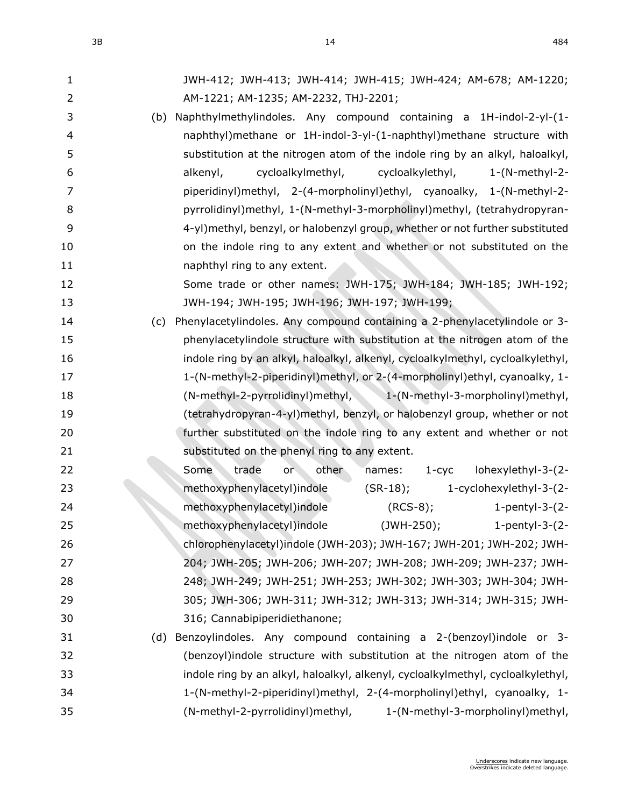| 3B | 484 |
|----|-----|
|----|-----|

| $\mathbf{1}$   | JWH-412; JWH-413; JWH-414; JWH-415; JWH-424; AM-678; AM-1220;                    |
|----------------|----------------------------------------------------------------------------------|
| $\overline{2}$ | AM-1221; AM-1235; AM-2232, THJ-2201;                                             |
| 3              | (b) Naphthylmethylindoles. Any compound containing a 1H-indol-2-yl-(1-           |
| $\overline{4}$ | naphthyl)methane or 1H-indol-3-yl-(1-naphthyl)methane structure with             |
| 5              | substitution at the nitrogen atom of the indole ring by an alkyl, haloalkyl,     |
| 6              | cycloalkylmethyl,<br>cycloalkylethyl,<br>$1-(N-methyl-2-$<br>alkenyl,            |
| 7              | piperidinyl)methyl, 2-(4-morpholinyl)ethyl, cyanoalky, 1-(N-methyl-2-            |
| 8              | pyrrolidinyl)methyl, 1-(N-methyl-3-morpholinyl)methyl, (tetrahydropyran-         |
| 9              | 4-yl)methyl, benzyl, or halobenzyl group, whether or not further substituted     |
| 10             | on the indole ring to any extent and whether or not substituted on the           |
| 11             | naphthyl ring to any extent.                                                     |
| 12             | Some trade or other names: JWH-175; JWH-184; JWH-185; JWH-192;                   |
| 13             | JWH-194; JWH-195; JWH-196; JWH-197; JWH-199;                                     |
| 14             | Phenylacetylindoles. Any compound containing a 2-phenylacetylindole or 3-<br>(c) |
| 15             | phenylacetylindole structure with substitution at the nitrogen atom of the       |
| 16             | indole ring by an alkyl, haloalkyl, alkenyl, cycloalkylmethyl, cycloalkylethyl,  |
| 17             | 1-(N-methyl-2-piperidinyl)methyl, or 2-(4-morpholinyl)ethyl, cyanoalky, 1-       |
| 18             | (N-methyl-2-pyrrolidinyl)methyl, 1-(N-methyl-3-morpholinyl)methyl,               |
| 19             | (tetrahydropyran-4-yl)methyl, benzyl, or halobenzyl group, whether or not        |
| 20             | further substituted on the indole ring to any extent and whether or not          |
| 21             | substituted on the phenyl ring to any extent.                                    |
| 22             | trade<br>lohexylethyl-3-(2-<br>Some<br>or<br>other<br>$1 - cyc$<br>names:        |
| 23             | methoxyphenylacetyl)indole<br>$(SR-18)$ ;<br>1-cyclohexylethyl-3-(2-             |
| 24             | methoxyphenylacetyl)indole<br>$(RCS-8);$<br>1-pentyl-3- $(2-$                    |
| 25             | methoxyphenylacetyl)indole (JWH-250); 1-pentyl-3-(2-                             |
| 26             | chlorophenylacetyl)indole (JWH-203); JWH-167; JWH-201; JWH-202; JWH-             |
| 27             | 204; JWH-205; JWH-206; JWH-207; JWH-208; JWH-209; JWH-237; JWH-                  |
| 28             | 248; JWH-249; JWH-251; JWH-253; JWH-302; JWH-303; JWH-304; JWH-                  |
| 29             | 305; JWH-306; JWH-311; JWH-312; JWH-313; JWH-314; JWH-315; JWH-                  |
| 30             | 316; Cannabipiperidiethanone;                                                    |
| 31             | Benzoylindoles. Any compound containing a 2-(benzoyl)indole or 3-<br>(d)         |
| 32             | (benzoyl)indole structure with substitution at the nitrogen atom of the          |
| 33             | indole ring by an alkyl, haloalkyl, alkenyl, cycloalkylmethyl, cycloalkylethyl,  |
| 34             | 1-(N-methyl-2-piperidinyl)methyl, 2-(4-morpholinyl)ethyl, cyanoalky, 1-          |
| 35             | (N-methyl-2-pyrrolidinyl)methyl,<br>1-(N-methyl-3-morpholinyl)methyl,            |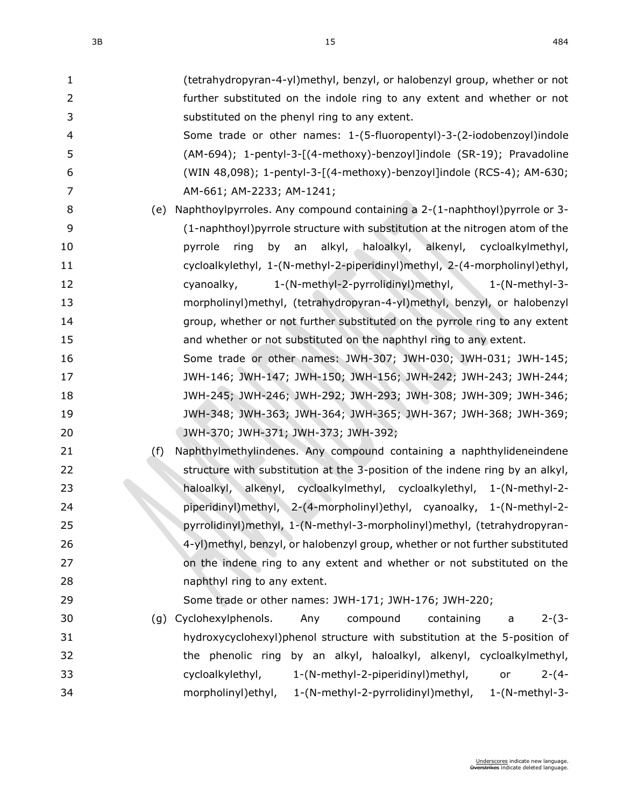| $\mathbf{1}$   | (tetrahydropyran-4-yl)methyl, benzyl, or halobenzyl group, whether or not        |
|----------------|----------------------------------------------------------------------------------|
| $\overline{2}$ | further substituted on the indole ring to any extent and whether or not          |
| 3              | substituted on the phenyl ring to any extent.                                    |
| $\overline{4}$ | Some trade or other names: 1-(5-fluoropentyl)-3-(2-iodobenzoyl)indole            |
| 5              | (AM-694); 1-pentyl-3-[(4-methoxy)-benzoyl]indole (SR-19); Pravadoline            |
| 6              | (WIN 48,098); 1-pentyl-3-[(4-methoxy)-benzoyl]indole (RCS-4); AM-630;            |
| $\overline{7}$ | AM-661; AM-2233; AM-1241;                                                        |
| 8              | Naphthoylpyrroles. Any compound containing a 2-(1-naphthoyl)pyrrole or 3-<br>(e) |
| 9              | (1-naphthoyl) pyrrole structure with substitution at the nitrogen atom of the    |
| 10             | alkyl, haloalkyl, alkenyl, cycloalkylmethyl,<br>pyrrole<br>ring<br>by an         |
| 11             | cycloalkylethyl, 1-(N-methyl-2-piperidinyl)methyl, 2-(4-morpholinyl)ethyl,       |
| 12             | 1-(N-methyl-2-pyrrolidinyl)methyl, 1-(N-methyl-3-<br>cyanoalky,                  |
| 13             | morpholinyl)methyl, (tetrahydropyran-4-yl)methyl, benzyl, or halobenzyl          |
| 14             | group, whether or not further substituted on the pyrrole ring to any extent      |
| 15             | and whether or not substituted on the naphthyl ring to any extent.               |
| 16             | Some trade or other names: JWH-307; JWH-030; JWH-031; JWH-145;                   |
| 17             | JWH-146; JWH-147; JWH-150; JWH-156; JWH-242; JWH-243; JWH-244;                   |
| 18             | JWH-245; JWH-246; JWH-292; JWH-293; JWH-308; JWH-309; JWH-346;                   |
| 19             | JWH-348; JWH-363; JWH-364; JWH-365; JWH-367; JWH-368; JWH-369;                   |
| 20             | JWH-370; JWH-371; JWH-373; JWH-392;                                              |
| 21             | Naphthylmethylindenes. Any compound containing a naphthylideneindene<br>(f)      |
| 22             | structure with substitution at the 3-position of the indene ring by an alkyl,    |
| 23             | haloalkyl, alkenyl, cycloalkylmethyl, cycloalkylethyl, 1-(N-methyl-2-            |
| 24             | piperidinyl)methyl, 2-(4-morpholinyl)ethyl, cyanoalky, 1-(N-methyl-2-            |
| 25             | pyrrolidinyl)methyl, 1-(N-methyl-3-morpholinyl)methyl, (tetrahydropyran-         |
| 26             | 4-yl)methyl, benzyl, or halobenzyl group, whether or not further substituted     |
| 27             | on the indene ring to any extent and whether or not substituted on the           |
| 28             | naphthyl ring to any extent.                                                     |
| 29             | Some trade or other names: JWH-171; JWH-176; JWH-220;                            |
| 30             | Cyclohexylphenols.<br>compound<br>containing<br>Any<br>$2-(3-$<br>(g)<br>a       |
| 31             | hydroxycyclohexyl)phenol structure with substitution at the 5-position of        |
| 32             | the phenolic ring by an alkyl, haloalkyl, alkenyl, cycloalkylmethyl,             |
| 33             | cycloalkylethyl,<br>1-(N-methyl-2-piperidinyl)methyl,<br>or<br>$2-(4-$           |
| 34             | morpholinyl) ethyl,<br>1-(N-methyl-2-pyrrolidinyl)methyl, 1-(N-methyl-3-         |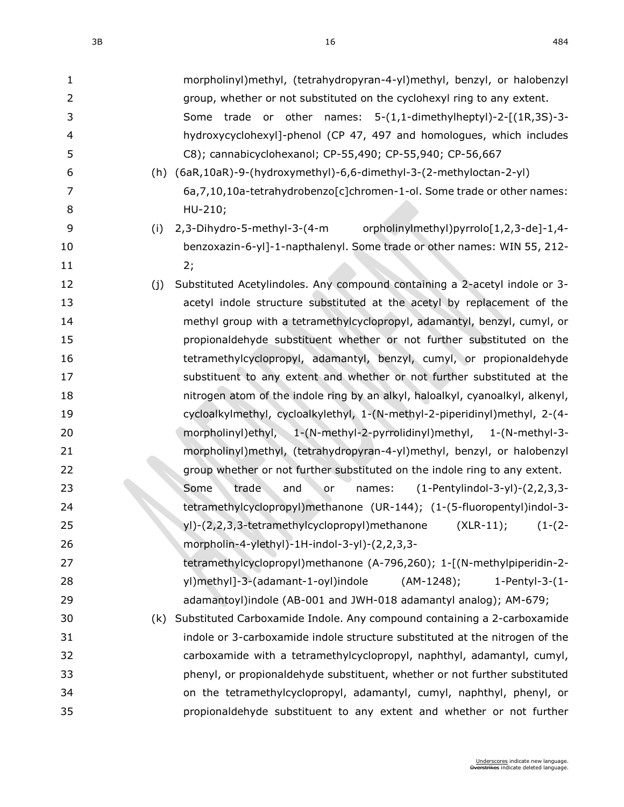| 1              | morpholinyl)methyl, (tetrahydropyran-4-yl)methyl, benzyl, or halobenzyl           |
|----------------|-----------------------------------------------------------------------------------|
| $\overline{2}$ | group, whether or not substituted on the cyclohexyl ring to any extent.           |
| 3              | Some trade or other names: 5-(1,1-dimethylheptyl)-2-[(1R,3S)-3-                   |
| 4              | hydroxycyclohexyl]-phenol (CP 47, 497 and homologues, which includes              |
| 5              | C8); cannabicyclohexanol; CP-55,490; CP-55,940; CP-56,667                         |
| 6              | (h) (6aR,10aR)-9-(hydroxymethyl)-6,6-dimethyl-3-(2-methyloctan-2-yl)              |
| 7              | 6a, 7, 10, 10a-tetrahydrobenzo[c]chromen-1-ol. Some trade or other names:         |
| 8              | HU-210;                                                                           |
| 9              | orpholinylmethyl)pyrrolo[1,2,3-de]-1,4-<br>(i)<br>2,3-Dihydro-5-methyl-3-(4-m     |
| 10             | benzoxazin-6-yl]-1-napthalenyl. Some trade or other names: WIN 55, 212-           |
| 11             | 2;                                                                                |
| 12             | Substituted Acetylindoles. Any compound containing a 2-acetyl indole or 3-<br>(j) |
| 13             | acetyl indole structure substituted at the acetyl by replacement of the           |
| 14             | methyl group with a tetramethylcyclopropyl, adamantyl, benzyl, cumyl, or          |
| 15             | propionaldehyde substituent whether or not further substituted on the             |
| 16             | tetramethylcyclopropyl, adamantyl, benzyl, cumyl, or propionaldehyde              |
| 17             | substituent to any extent and whether or not further substituted at the           |
| 18             | nitrogen atom of the indole ring by an alkyl, haloalkyl, cyanoalkyl, alkenyl,     |
| 19             | cycloalkylmethyl, cycloalkylethyl, 1-(N-methyl-2-piperidinyl)methyl, 2-(4-        |
| 20             | morpholinyl)ethyl, 1-(N-methyl-2-pyrrolidinyl)methyl, 1-(N-methyl-3-              |
| 21             | morpholinyl)methyl, (tetrahydropyran-4-yl)methyl, benzyl, or halobenzyl           |
| 22             | group whether or not further substituted on the indole ring to any extent.        |
| 23             | Some<br>trade<br>$(1-Perbylindol-3-yl)-(2,2,3,3-$<br>and<br>names:<br>or          |
| 24             | tetramethylcyclopropyl)methanone (UR-144); (1-(5-fluoropentyl)indol-3-            |
| 25             | yl)-(2,2,3,3-tetramethylcyclopropyl)methanone (XLR-11); (1-(2-                    |
| 26             | morpholin-4-ylethyl)-1H-indol-3-yl)-(2,2,3,3-                                     |
| 27             | tetramethylcyclopropyl)methanone (A-796,260); 1-[(N-methylpiperidin-2-            |
| 28             | yl)methyl]-3-(adamant-1-oyl)indole<br>$(AM-1248);$<br>1-Pentyl-3- $(1 -$          |
| 29             | adamantoyl)indole (AB-001 and JWH-018 adamantyl analog); AM-679;                  |
| 30             | (k) Substituted Carboxamide Indole. Any compound containing a 2-carboxamide       |
| 31             | indole or 3-carboxamide indole structure substituted at the nitrogen of the       |
| 32             | carboxamide with a tetramethylcyclopropyl, naphthyl, adamantyl, cumyl,            |
| 33             | phenyl, or propionaldehyde substituent, whether or not further substituted        |
| 34             | on the tetramethylcyclopropyl, adamantyl, cumyl, naphthyl, phenyl, or             |
| 35             | propionaldehyde substituent to any extent and whether or not further              |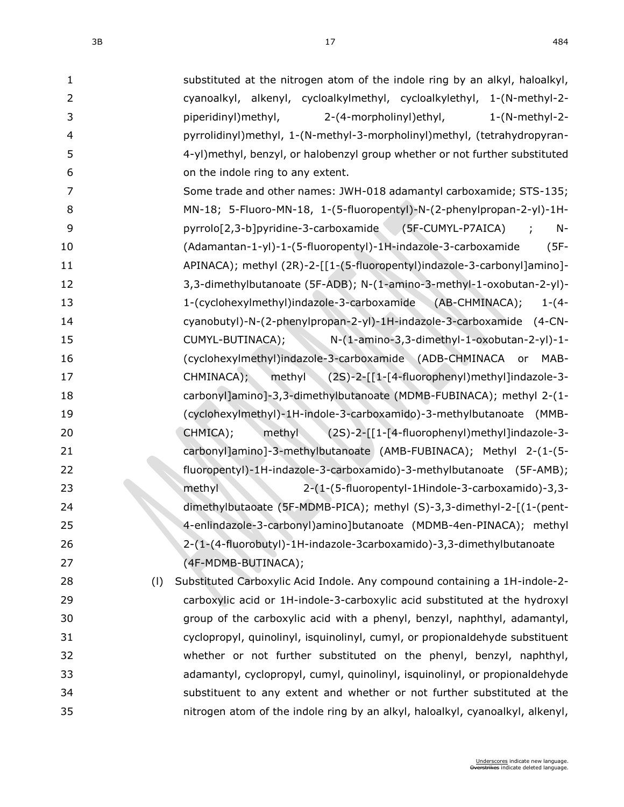| $\mathbf{1}$   |     | substituted at the nitrogen atom of the indole ring by an alkyl, haloalkyl,   |
|----------------|-----|-------------------------------------------------------------------------------|
| $\overline{2}$ |     | cyanoalkyl, alkenyl, cycloalkylmethyl, cycloalkylethyl, 1-(N-methyl-2-        |
| 3              |     | piperidinyl) methyl,<br>2-(4-morpholinyl) ethyl,<br>$1-(N-methyl-2-$          |
| 4              |     | pyrrolidinyl)methyl, 1-(N-methyl-3-morpholinyl)methyl, (tetrahydropyran-      |
| 5              |     | 4-yl)methyl, benzyl, or halobenzyl group whether or not further substituted   |
| 6              |     | on the indole ring to any extent.                                             |
| 7              |     | Some trade and other names: JWH-018 adamantyl carboxamide; STS-135;           |
| 8              |     | MN-18; 5-Fluoro-MN-18, 1-(5-fluoropentyl)-N-(2-phenylpropan-2-yl)-1H-         |
| 9              |     | pyrrolo[2,3-b]pyridine-3-carboxamide (5F-CUMYL-P7AICA)<br>$N-$<br>$\sim$ 1.   |
| 10             |     | (Adamantan-1-yl)-1-(5-fluoropentyl)-1H-indazole-3-carboxamide<br>$(5F -$      |
| 11             |     | APINACA); methyl (2R)-2-[[1-(5-fluoropentyl)indazole-3-carbonyl]amino]-       |
| 12             |     | 3,3-dimethylbutanoate (5F-ADB); N-(1-amino-3-methyl-1-oxobutan-2-yl)-         |
| 13             |     | 1-(cyclohexylmethyl)indazole-3-carboxamide (AB-CHMINACA);<br>$1-(4-$          |
| 14             |     | cyanobutyl)-N-(2-phenylpropan-2-yl)-1H-indazole-3-carboxamide (4-CN-          |
| 15             |     | $N-(1-amin-3,3-dimethyl-1-oxobutan-2-yl)-1-$<br>CUMYL-BUTINACA);              |
| 16             |     | (cyclohexylmethyl)indazole-3-carboxamide (ADB-CHMINACA<br>MAB-<br>or          |
| 17             |     | methyl (2S)-2-[[1-[4-fluorophenyl)methyl]indazole-3-<br>CHMINACA);            |
| 18             |     | carbonyl]amino]-3,3-dimethylbutanoate (MDMB-FUBINACA); methyl 2-(1-           |
| 19             |     | (cyclohexylmethyl)-1H-indole-3-carboxamido)-3-methylbutanoate (MMB-           |
| 20             |     | CHMICA);<br>methyl<br>(2S)-2-[[1-[4-fluorophenyl)methyl]indazole-3-           |
| 21             |     | carbonyl]amino]-3-methylbutanoate (AMB-FUBINACA); Methyl 2-(1-(5-             |
| 22             |     | fluoropentyl)-1H-indazole-3-carboxamido)-3-methylbutanoate (5F-AMB);          |
| 23             |     | methyl<br>2-(1-(5-fluoropentyl-1Hindole-3-carboxamido)-3,3-                   |
| 24             |     | dimethylbutaoate (5F-MDMB-PICA); methyl (S)-3,3-dimethyl-2-[(1-(pent-         |
| 25             |     | 4-enlindazole-3-carbonyl)amino]butanoate (MDMB-4en-PINACA); methyl            |
| 26             |     | 2-(1-(4-fluorobutyl)-1H-indazole-3carboxamido)-3,3-dimethylbutanoate          |
| 27             |     | (4F-MDMB-BUTINACA);                                                           |
| 28             | (1) | Substituted Carboxylic Acid Indole. Any compound containing a 1H-indole-2-    |
| 29             |     | carboxylic acid or 1H-indole-3-carboxylic acid substituted at the hydroxyl    |
| 30             |     | group of the carboxylic acid with a phenyl, benzyl, naphthyl, adamantyl,      |
| 31             |     | cyclopropyl, quinolinyl, isquinolinyl, cumyl, or propionaldehyde substituent  |
| 32             |     | whether or not further substituted on the phenyl, benzyl, naphthyl,           |
| 33             |     | adamantyl, cyclopropyl, cumyl, quinolinyl, isquinolinyl, or propionaldehyde   |
| 34             |     | substituent to any extent and whether or not further substituted at the       |
| 35             |     | nitrogen atom of the indole ring by an alkyl, haloalkyl, cyanoalkyl, alkenyl, |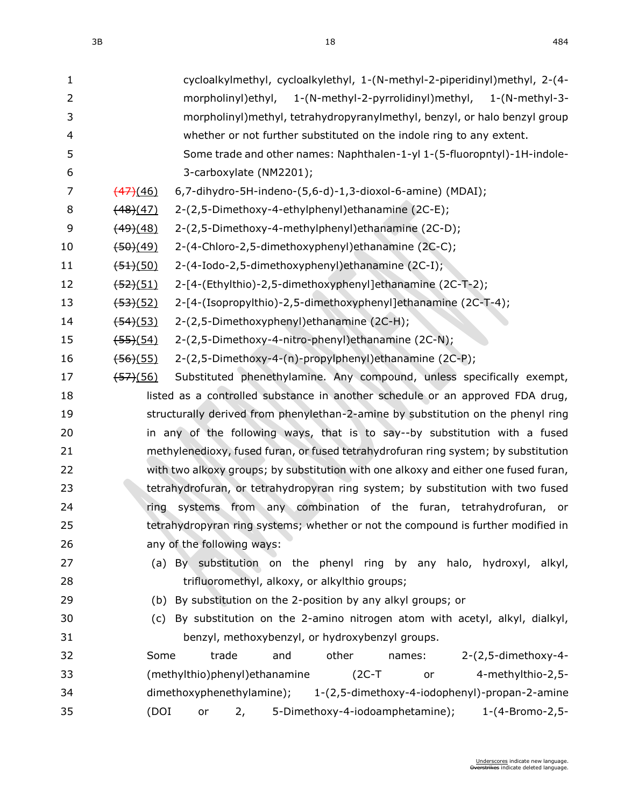| $\mathbf{1}$   | cycloalkylmethyl, cycloalkylethyl, 1-(N-methyl-2-piperidinyl)methyl, 2-(4-            |
|----------------|---------------------------------------------------------------------------------------|
| $\overline{2}$ | 1-(N-methyl-2-pyrrolidinyl)methyl, 1-(N-methyl-3-<br>morpholinyl) ethyl,              |
| 3              | morpholinyl) methyl, tetrahydropyranylmethyl, benzyl, or halo benzyl group            |
| 4              | whether or not further substituted on the indole ring to any extent.                  |
| 5              | Some trade and other names: Naphthalen-1-yl 1-(5-fluoropntyl)-1H-indole-              |
| 6              | 3-carboxylate (NM2201);                                                               |
| 7              | 6,7-dihydro-5H-indeno-(5,6-d)-1,3-dioxol-6-amine) (MDAI);<br>$\frac{(47)(46)}{47}$    |
| 8              | 2-(2,5-Dimethoxy-4-ethylphenyl)ethanamine (2C-E);<br>(48)(47)                         |
| 9              | (49)(48)<br>2-(2,5-Dimethoxy-4-methylphenyl) ethanamine (2C-D);                       |
| 10             | 2-(4-Chloro-2,5-dimethoxyphenyl)ethanamine (2C-C);<br>$\frac{(50)(49)}{2}$            |
| 11             | 2-(4-Iodo-2,5-dimethoxyphenyl)ethanamine (2C-I);<br>$\frac{(51)(50)}{2}$              |
| 12             | 2-[4-(Ethylthio)-2,5-dimethoxyphenyl]ethanamine (2C-T-2);<br><del>(52)</del> (51)     |
| 13             | 2-[4-(Isopropylthio)-2,5-dimethoxyphenyl]ethanamine (2C-T-4);<br><del>(53)</del> (52) |
| 14             | 2-(2,5-Dimethoxyphenyl)ethanamine (2C-H);<br>$\frac{(54)(53)}{2}$                     |
| 15             | 2-(2,5-Dimethoxy-4-nitro-phenyl)ethanamine (2C-N);<br><del>(55)</del> (54)            |
| 16             | 2-(2,5-Dimethoxy-4-(n)-propylphenyl)ethanamine (2C-P);<br>$\frac{(56)(55)}{2}$        |
| 17             | Substituted phenethylamine. Any compound, unless specifically exempt,<br>(57)(56)     |
| 18             | listed as a controlled substance in another schedule or an approved FDA drug,         |
| 19             | structurally derived from phenylethan-2-amine by substitution on the phenyl ring      |
| 20             | in any of the following ways, that is to say--by substitution with a fused            |
| 21             | methylenedioxy, fused furan, or fused tetrahydrofuran ring system; by substitution    |
| 22             | with two alkoxy groups; by substitution with one alkoxy and either one fused furan,   |
| 23             | tetrahydrofuran, or tetrahydropyran ring system; by substitution with two fused       |
| 24             | systems from any combination of the furan, tetrahydrofuran, or<br>ring                |
| 25             | tetrahydropyran ring systems; whether or not the compound is further modified in      |
| 26             | any of the following ways:                                                            |
| 27             | (a) By substitution on the phenyl ring by any halo, hydroxyl, alkyl,                  |
| 28             | trifluoromethyl, alkoxy, or alkylthio groups;                                         |
| 29             | (b) By substitution on the 2-position by any alkyl groups; or                         |
| 30             | (c) By substitution on the 2-amino nitrogen atom with acetyl, alkyl, dialkyl,         |
| 31             | benzyl, methoxybenzyl, or hydroxybenzyl groups.                                       |
| 32             | 2-(2,5-dimethoxy-4-<br>Some<br>trade<br>other<br>and<br>names:                        |
| 33             | (methylthio)phenyl) ethanamine<br>$(2C-T)$<br>4-methylthio-2,5-<br>or                 |
| 34             | dimethoxyphenethylamine);<br>1-(2,5-dimethoxy-4-iodophenyl)-propan-2-amine            |
| 35             | 5-Dimethoxy-4-iodoamphetamine); 1-(4-Bromo-2,5-<br>(DOI)<br>2,<br>or                  |
|                |                                                                                       |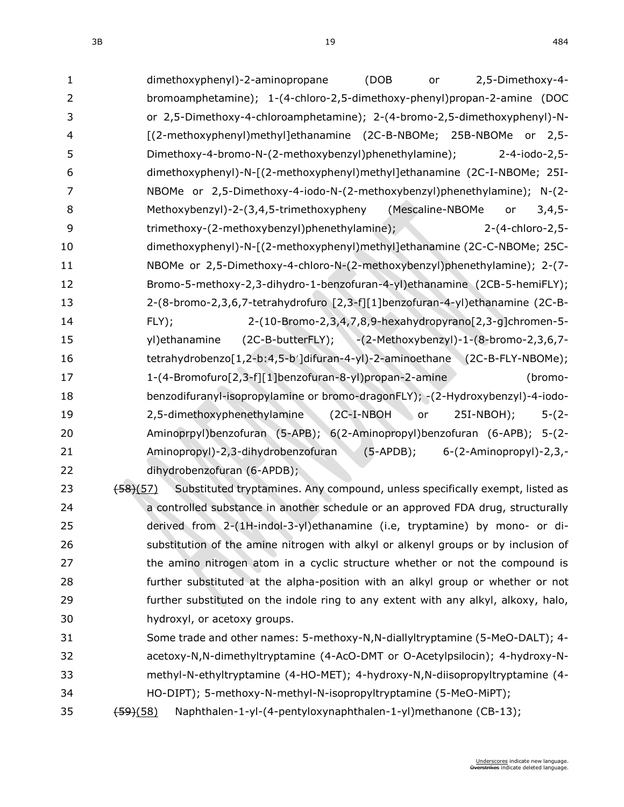3B 19 484

| 1                        | (DOB<br>dimethoxyphenyl)-2-aminopropane<br>2,5-Dimethoxy-4-<br>or                                                |
|--------------------------|------------------------------------------------------------------------------------------------------------------|
| 2                        | bromoamphetamine); 1-(4-chloro-2,5-dimethoxy-phenyl)propan-2-amine (DOC                                          |
| 3                        | or 2,5-Dimethoxy-4-chloroamphetamine); 2-(4-bromo-2,5-dimethoxyphenyl)-N-                                        |
| $\overline{\mathcal{L}}$ | [(2-methoxyphenyl)methyl]ethanamine (2C-B-NBOMe; 25B-NBOMe or 2,5-                                               |
| 5                        | Dimethoxy-4-bromo-N-(2-methoxybenzyl)phenethylamine);<br>2-4-iodo-2,5-                                           |
| 6                        | dimethoxyphenyl)-N-[(2-methoxyphenyl)methyl]ethanamine (2C-I-NBOMe; 25I-                                         |
| $\overline{7}$           | NBOMe or 2,5-Dimethoxy-4-iodo-N-(2-methoxybenzyl)phenethylamine); N-(2-                                          |
| 8                        | Methoxybenzyl)-2-(3,4,5-trimethoxypheny (Mescaline-NBOMe<br>$3,4,5-$<br>or                                       |
| 9                        | trimethoxy-(2-methoxybenzyl)phenethylamine);<br>2-(4-chloro-2,5-                                                 |
| 10                       | dimethoxyphenyl)-N-[(2-methoxyphenyl)methyl]ethanamine (2C-C-NBOMe; 25C-                                         |
| 11                       | NBOMe or 2,5-Dimethoxy-4-chloro-N-(2-methoxybenzyl)phenethylamine); 2-(7-                                        |
| 12                       | Bromo-5-methoxy-2,3-dihydro-1-benzofuran-4-yl)ethanamine (2CB-5-hemiFLY);                                        |
| 13                       | 2-(8-bromo-2,3,6,7-tetrahydrofuro [2,3-f][1]benzofuran-4-yl)ethanamine (2C-B-                                    |
| 14                       | 2-(10-Bromo-2,3,4,7,8,9-hexahydropyrano[2,3-g]chromen-5-<br>FLY);                                                |
| 15                       | (2C-B-butterFLY); -(2-Methoxybenzyl)-1-(8-bromo-2,3,6,7-<br>yl) ethanamine                                       |
| 16                       | tetrahydrobenzo[1,2-b:4,5-b']difuran-4-yl)-2-aminoethane (2C-B-FLY-NBOMe);                                       |
| 17                       | 1-(4-Bromofuro[2,3-f][1]benzofuran-8-yl)propan-2-amine<br>(bromo-                                                |
| 18                       | benzodifuranyl-isopropylamine or bromo-dragonFLY); -(2-Hydroxybenzyl)-4-iodo-                                    |
| 19                       | 2,5-dimethoxyphenethylamine<br>$5-(2-$<br>$(C - I - NBOH)$<br>or<br>$25I-NBOH);$                                 |
| 20                       | Aminoprpyl)benzofuran (5-APB); 6(2-Aminopropyl)benzofuran (6-APB); 5-(2-                                         |
| 21                       | Aminopropyl)-2,3-dihydrobenzofuran<br>$(5-APDB);$<br>6-(2-Aminopropyl)-2,3,-                                     |
| 22                       | dihydrobenzofuran (6-APDB);                                                                                      |
| 23                       | Substituted tryptamines. Any compound, unless specifically exempt, listed as<br>$\left(58\right)\left(57\right)$ |
| 24                       | a controlled substance in another schedule or an approved FDA drug, structurally                                 |
| 25                       | derived from 2-(1H-indol-3-yl)ethanamine (i.e, tryptamine) by mono- or di-                                       |
| 26                       | substitution of the amine nitrogen with alkyl or alkenyl groups or by inclusion of                               |
| 27                       | the amino nitrogen atom in a cyclic structure whether or not the compound is                                     |
| 28                       | further substituted at the alpha-position with an alkyl group or whether or not                                  |
| 29                       | further substituted on the indole ring to any extent with any alkyl, alkoxy, halo,                               |
| 30                       | hydroxyl, or acetoxy groups.                                                                                     |
| 31                       | Some trade and other names: 5-methoxy-N,N-diallyltryptamine (5-MeO-DALT); 4-                                     |
| 32                       | acetoxy-N,N-dimethyltryptamine (4-AcO-DMT or O-Acetylpsilocin); 4-hydroxy-N-                                     |
| 33                       | methyl-N-ethyltryptamine (4-HO-MET); 4-hydroxy-N,N-diisopropyltryptamine (4-                                     |
| 34                       | HO-DIPT); 5-methoxy-N-methyl-N-isopropyltryptamine (5-MeO-MiPT);                                                 |
| 35                       | Naphthalen-1-yl-(4-pentyloxynaphthalen-1-yl)methanone (CB-13);<br>$\frac{(59)(58)}{2}$                           |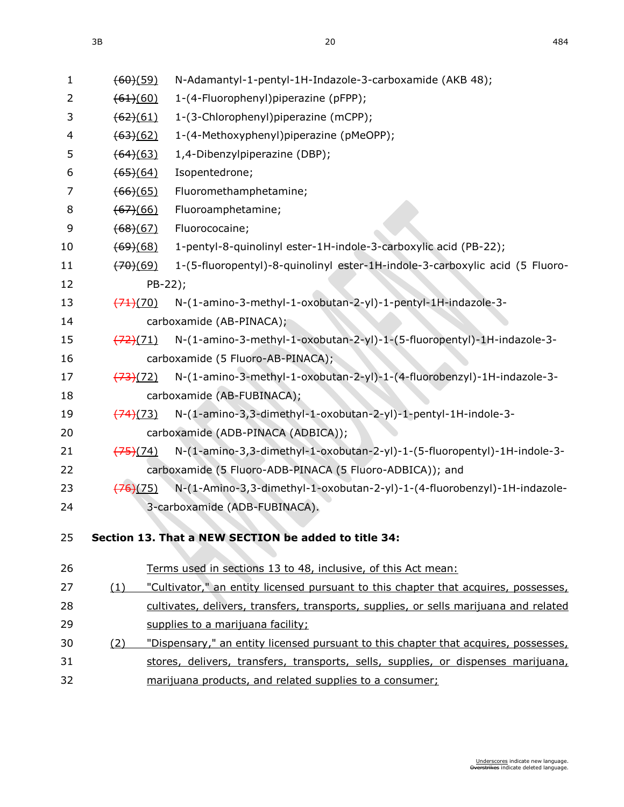| $\mathbf{1}$ | (60)(59)             | N-Adamantyl-1-pentyl-1H-Indazole-3-carboxamide (AKB 48);                              |
|--------------|----------------------|---------------------------------------------------------------------------------------|
| 2            | (61)(60)             | 1-(4-Fluorophenyl)piperazine (pFPP);                                                  |
| 3            | $\frac{(62)(61)}{6}$ | 1-(3-Chlorophenyl)piperazine (mCPP);                                                  |
| 4            | $\frac{(63)(62)}{6}$ | 1-(4-Methoxyphenyl)piperazine (pMeOPP);                                               |
| 5            | (64)(63)             | 1,4-Dibenzylpiperazine (DBP);                                                         |
| 6            | $\frac{(65)(64)}{2}$ | Isopentedrone;                                                                        |
| 7            | (66)(65)             | Fluoromethamphetamine;                                                                |
| 8            | (67)(66)             | Fluoroamphetamine;                                                                    |
| 9            | (68)(67)             | Fluorococaine;                                                                        |
| 10           | (69)(68)             | 1-pentyl-8-quinolinyl ester-1H-indole-3-carboxylic acid (PB-22);                      |
| 11           | (70)(69)             | 1-(5-fluoropentyl)-8-quinolinyl ester-1H-indole-3-carboxylic acid (5 Fluoro-          |
| 12           | PB-22);              |                                                                                       |
| 13           | (71)(70)             | N-(1-amino-3-methyl-1-oxobutan-2-yl)-1-pentyl-1H-indazole-3-                          |
| 14           |                      | carboxamide (AB-PINACA);                                                              |
| 15           | (72)(71)             | N-(1-amino-3-methyl-1-oxobutan-2-yl)-1-(5-fluoropentyl)-1H-indazole-3-                |
| 16           |                      | carboxamide (5 Fluoro-AB-PINACA);                                                     |
| 17           | (73)(72)             | N-(1-amino-3-methyl-1-oxobutan-2-yl)-1-(4-fluorobenzyl)-1H-indazole-3-                |
| 18           |                      | carboxamide (AB-FUBINACA);                                                            |
| 19           | (74)(73)             | N-(1-amino-3,3-dimethyl-1-oxobutan-2-yl)-1-pentyl-1H-indole-3-                        |
| 20           |                      | carboxamide (ADB-PINACA (ADBICA));                                                    |
| 21           | $\frac{(75)(74)}{2}$ | N-(1-amino-3,3-dimethyl-1-oxobutan-2-yl)-1-(5-fluoropentyl)-1H-indole-3-              |
| 22           |                      | carboxamide (5 Fluoro-ADB-PINACA (5 Fluoro-ADBICA)); and                              |
| 23           | (76)(75)             | N-(1-Amino-3,3-dimethyl-1-oxobutan-2-yl)-1-(4-fluorobenzyl)-1H-indazole-              |
| 24           |                      | 3-carboxamide (ADB-FUBINACA).                                                         |
|              |                      | Section 13. That a NEW SECTION be added to title 34:                                  |
| 25           |                      |                                                                                       |
| 26           |                      | Terms used in sections 13 to 48, inclusive, of this Act mean:                         |
| 27           | (1)                  | "Cultivator," an entity licensed pursuant to this chapter that acquires, possesses,   |
| 28           |                      | cultivates, delivers, transfers, transports, supplies, or sells marijuana and related |
| 29           |                      | supplies to a marijuana facility;                                                     |
| 30           | (2)                  | "Dispensary," an entity licensed pursuant to this chapter that acquires, possesses,   |
| 31           |                      | stores, delivers, transfers, transports, sells, supplies, or dispenses marijuana,     |
| 32           |                      | marijuana products, and related supplies to a consumer;                               |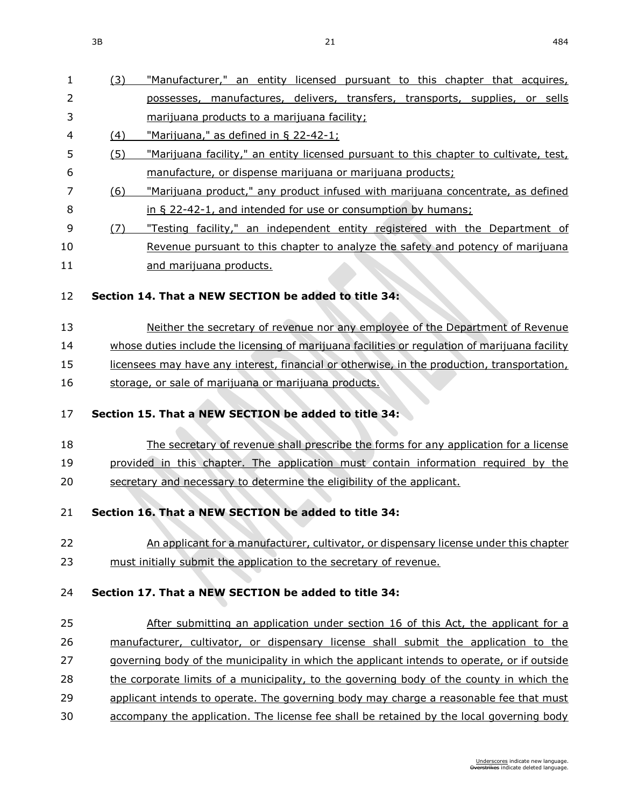| 1        | (3) | "Manufacturer," an entity licensed pursuant to this chapter that acquires,                     |
|----------|-----|------------------------------------------------------------------------------------------------|
| 2        |     | possesses, manufactures, delivers, transfers, transports, supplies, or sells                   |
| 3        |     | marijuana products to a marijuana facility;                                                    |
| 4        | (4) | "Marijuana," as defined in § 22-42-1;                                                          |
| 5        | (5) | "Marijuana facility," an entity licensed pursuant to this chapter to cultivate, test,          |
| 6        |     | manufacture, or dispense marijuana or marijuana products;                                      |
| 7        | (6) | "Marijuana product," any product infused with marijuana concentrate, as defined                |
| 8        |     | in § 22-42-1, and intended for use or consumption by humans;                                   |
| 9        | (7) | "Testing facility," an independent entity registered with the Department of                    |
| 10       |     | Revenue pursuant to this chapter to analyze the safety and potency of marijuana                |
| 11       |     | and marijuana products.                                                                        |
| 12       |     | Section 14. That a NEW SECTION be added to title 34:                                           |
|          |     |                                                                                                |
| 13       |     | Neither the secretary of revenue nor any employee of the Department of Revenue                 |
| 14       |     | whose duties include the licensing of marijuana facilities or regulation of marijuana facility |
| 15       |     | licensees may have any interest, financial or otherwise, in the production, transportation,    |
| 16       |     | storage, or sale of marijuana or marijuana products.                                           |
|          |     |                                                                                                |
| 17       |     | Section 15. That a NEW SECTION be added to title 34:                                           |
| 18       |     | The secretary of revenue shall prescribe the forms for any application for a license           |
| 19       |     | provided in this chapter. The application must contain information required by the             |
| 20       |     | secretary and necessary to determine the eligibility of the applicant.                         |
|          |     |                                                                                                |
| 21       |     | Section 16. That a NEW SECTION be added to title 34:                                           |
| 22       |     | An applicant for a manufacturer, cultivator, or dispensary license under this chapter          |
| 23       |     | must initially submit the application to the secretary of revenue.                             |
|          |     |                                                                                                |
| 24       |     | Section 17. That a NEW SECTION be added to title 34:                                           |
| 25       |     | After submitting an application under section 16 of this Act, the applicant for a              |
| 26       |     | manufacturer, cultivator, or dispensary license shall submit the application to the            |
| 27       |     |                                                                                                |
| 28       |     |                                                                                                |
|          |     | governing body of the municipality in which the applicant intends to operate, or if outside    |
|          |     | the corporate limits of a municipality, to the governing body of the county in which the       |
| 29<br>30 |     | applicant intends to operate. The governing body may charge a reasonable fee that must         |
|          |     | accompany the application. The license fee shall be retained by the local governing body       |
|          |     |                                                                                                |
|          |     | Underscores indicate new language.<br>Overstrikes indicate deleted language.                   |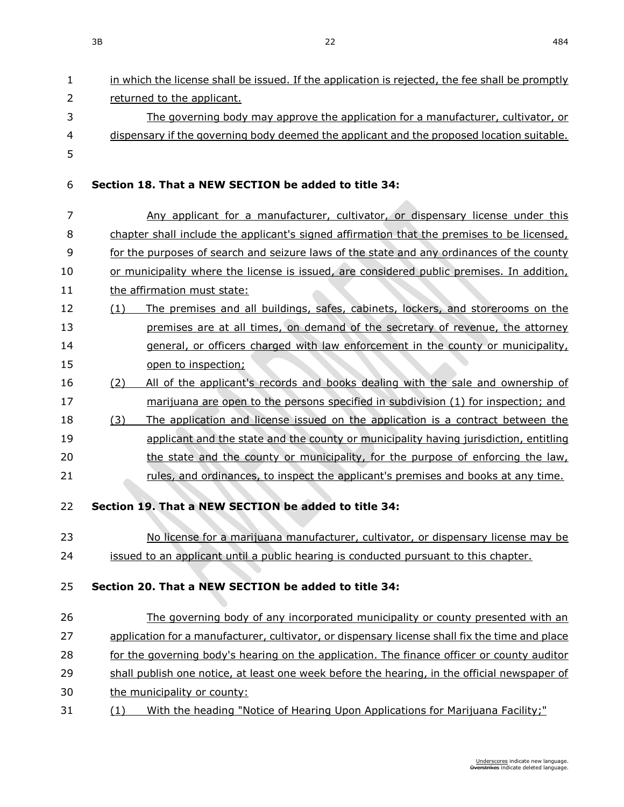- in which the license shall be issued. If the application is rejected, the fee shall be promptly returned to the applicant. The governing body may approve the application for a manufacturer, cultivator, or dispensary if the governing body deemed the applicant and the proposed location suitable. **Section 18. That a NEW SECTION be added to title 34:** 7 Any applicant for a manufacturer, cultivator, or dispensary license under this chapter shall include the applicant's signed affirmation that the premises to be licensed, for the purposes of search and seizure laws of the state and any ordinances of the county or municipality where the license is issued, are considered public premises. In addition, 11 the affirmation must state: (1) The premises and all buildings, safes, cabinets, lockers, and storerooms on the premises are at all times, on demand of the secretary of revenue, the attorney general, or officers charged with law enforcement in the county or municipality, 15 open to inspection; (2) All of the applicant's records and books dealing with the sale and ownership of marijuana are open to the persons specified in subdivision (1) for inspection; and (3) The application and license issued on the application is a contract between the applicant and the state and the county or municipality having jurisdiction, entitling the state and the county or municipality, for the purpose of enforcing the law, rules, and ordinances, to inspect the applicant's premises and books at any time. **Section 19. That a NEW SECTION be added to title 34:** No license for a marijuana manufacturer, cultivator, or dispensary license may be issued to an applicant until a public hearing is conducted pursuant to this chapter. **Section 20. That a NEW SECTION be added to title 34:** The governing body of any incorporated municipality or county presented with an application for a manufacturer, cultivator, or dispensary license shall fix the time and place 28 for the governing body's hearing on the application. The finance officer or county auditor shall publish one notice, at least one week before the hearing, in the official newspaper of the municipality or county:
- (1) With the heading "Notice of Hearing Upon Applications for Marijuana Facility;"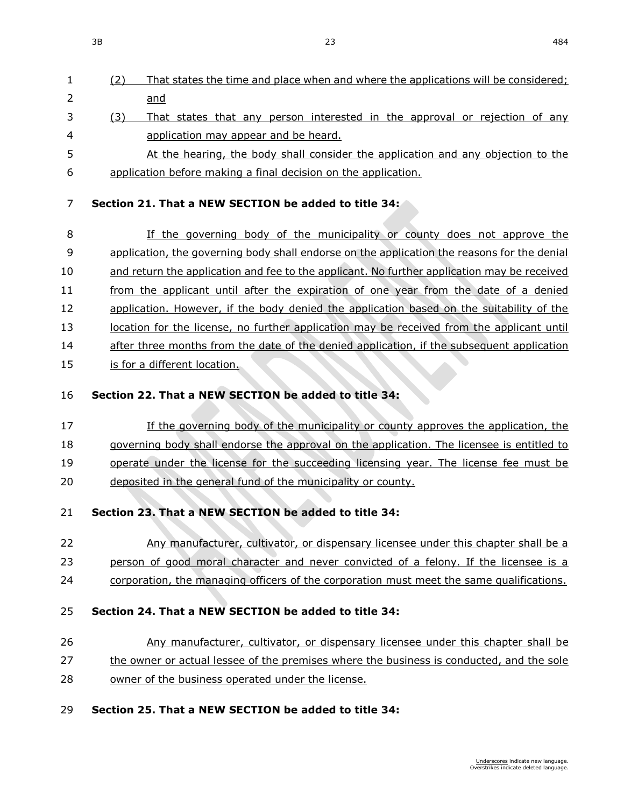- (2) That states the time and place when and where the applications will be considered; and 3 (3) That states that any person interested in the approval or rejection of any
- application may appear and be heard.
- 5 At the hearing, the body shall consider the application and any objection to the application before making a final decision on the application.

# **Section 21. That a NEW SECTION be added to title 34:**

 If the governing body of the municipality or county does not approve the application, the governing body shall endorse on the application the reasons for the denial and return the application and fee to the applicant. No further application may be received from the applicant until after the expiration of one year from the date of a denied 12 application. However, if the body denied the application based on the suitability of the 13 location for the license, no further application may be received from the applicant until 14 after three months from the date of the denied application, if the subsequent application 15 is for a different location.

### **Section 22. That a NEW SECTION be added to title 34:**

 If the governing body of the municipality or county approves the application, the 18 governing body shall endorse the approval on the application. The licensee is entitled to operate under the license for the succeeding licensing year. The license fee must be deposited in the general fund of the municipality or county.

# **Section 23. That a NEW SECTION be added to title 34:**

- Any manufacturer, cultivator, or dispensary licensee under this chapter shall be a person of good moral character and never convicted of a felony. If the licensee is a
- corporation, the managing officers of the corporation must meet the same qualifications.

# **Section 24. That a NEW SECTION be added to title 34:**

# Any manufacturer, cultivator, or dispensary licensee under this chapter shall be

- 27 the owner or actual lessee of the premises where the business is conducted, and the sole
- owner of the business operated under the license.

# **Section 25. That a NEW SECTION be added to title 34:**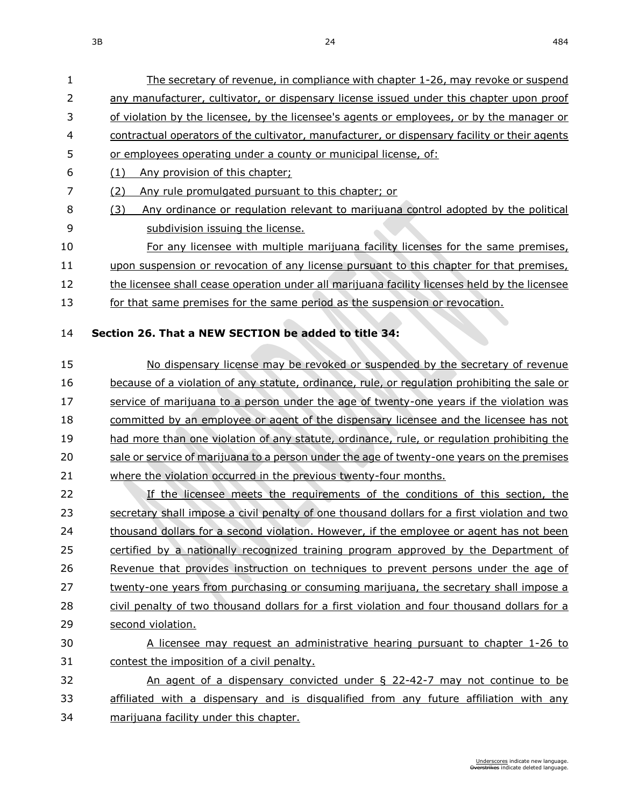The secretary of revenue, in compliance with chapter [1-26,](https://sdlegislature.gov/Statutes?Statute=1-26) may revoke or suspend 2 any manufacturer, cultivator, or dispensary license issued under this chapter upon proof

| 3  | of violation by the licensee, by the licensee's agents or employees, or by the manager or     |
|----|-----------------------------------------------------------------------------------------------|
| 4  | contractual operators of the cultivator, manufacturer, or dispensary facility or their agents |
| 5  | or employees operating under a county or municipal license, of:                               |
| 6  | (1)<br>Any provision of this chapter;                                                         |
| 7  | Any rule promulgated pursuant to this chapter; or<br>(2)                                      |
| 8  | Any ordinance or regulation relevant to marijuana control adopted by the political<br>(3)     |
| 9  | subdivision issuing the license.                                                              |
| 10 | For any licensee with multiple marijuana facility licenses for the same premises,             |
| 11 | upon suspension or revocation of any license pursuant to this chapter for that premises,      |
| 12 | the licensee shall cease operation under all marijuana facility licenses held by the licensee |
| 13 | for that same premises for the same period as the suspension or revocation.                   |
| 14 | Section 26. That a NEW SECTION be added to title 34:                                          |
| 15 | No dispensary license may be revoked or suspended by the secretary of revenue                 |
| 16 | because of a violation of any statute, ordinance, rule, or regulation prohibiting the sale or |
| 17 | service of marijuana to a person under the age of twenty-one years if the violation was       |
| 18 | committed by an employee or agent of the dispensary licensee and the licensee has not         |
| 19 | had more than one violation of any statute, ordinance, rule, or regulation prohibiting the    |
| 20 | sale or service of marijuana to a person under the age of twenty-one years on the premises    |
| 21 | where the violation occurred in the previous twenty-four months.                              |
| 22 | If the licensee meets the requirements of the conditions of this section, the                 |
| 23 | secretary shall impose a civil penalty of one thousand dollars for a first violation and two  |
| 24 | thousand dollars for a second violation. However, if the employee or agent has not been       |
| 25 | certified by a nationally recognized training program approved by the Department of           |
|    |                                                                                               |

 civil penalty of two thousand dollars for a first violation and four thousand dollars for a second violation.

twenty-one years from purchasing or consuming marijuana, the secretary shall impose a

 A licensee may request an administrative hearing pursuant to chapter [1-26](https://sdlegislature.gov/Statutes?Statute=1-26) to contest the imposition of a civil penalty.

 An agent of a dispensary convicted under § [22-42-7](https://sdlegislature.gov/Statutes?Statute=22-42-7) may not continue to be affiliated with a dispensary and is disqualified from any future affiliation with any marijuana facility under this chapter.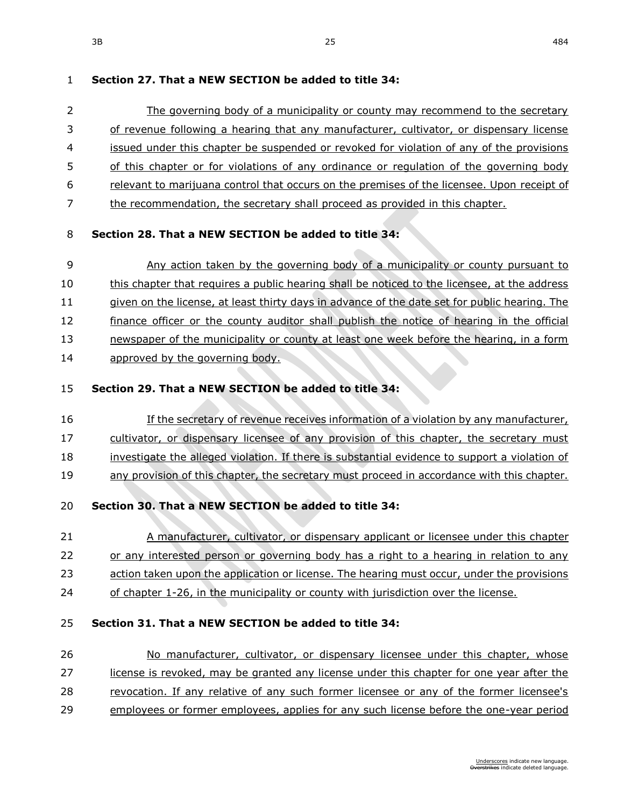### **Section 27. That a NEW SECTION be added to title 34:**

2 The governing body of a municipality or county may recommend to the secretary of revenue following a hearing that any manufacturer, cultivator, or dispensary license issued under this chapter be suspended or revoked for violation of any of the provisions 5 of this chapter or for violations of any ordinance or regulation of the governing body relevant to marijuana control that occurs on the premises of the licensee. Upon receipt of the recommendation, the secretary shall proceed as provided in this chapter.

### **Section 28. That a NEW SECTION be added to title 34:**

9 Any action taken by the governing body of a municipality or county pursuant to this chapter that requires a public hearing shall be noticed to the licensee, at the address 11 given on the license, at least thirty days in advance of the date set for public hearing. The 12 finance officer or the county auditor shall publish the notice of hearing in the official newspaper of the municipality or county at least one week before the hearing, in a form approved by the governing body.

### **Section 29. That a NEW SECTION be added to title 34:**

- If the secretary of revenue receives information of a violation by any manufacturer,
- cultivator, or dispensary licensee of any provision of this chapter, the secretary must
- investigate the alleged violation. If there is substantial evidence to support a violation of
- any provision of this chapter, the secretary must proceed in accordance with this chapter.

# **Section 30. That a NEW SECTION be added to title 34:**

- 21 A manufacturer, cultivator, or dispensary applicant or licensee under this chapter or any interested person or governing body has a right to a hearing in relation to any
- 23 action taken upon the application or license. The hearing must occur, under the provisions
- 24 of chapter [1-26,](https://sdlegislature.gov/Statutes?Statute=1-26) in the municipality or county with jurisdiction over the license.

# **Section 31. That a NEW SECTION be added to title 34:**

# No manufacturer, cultivator, or dispensary licensee under this chapter, whose license is revoked, may be granted any license under this chapter for one year after the revocation. If any relative of any such former licensee or any of the former licensee's employees or former employees, applies for any such license before the one-year period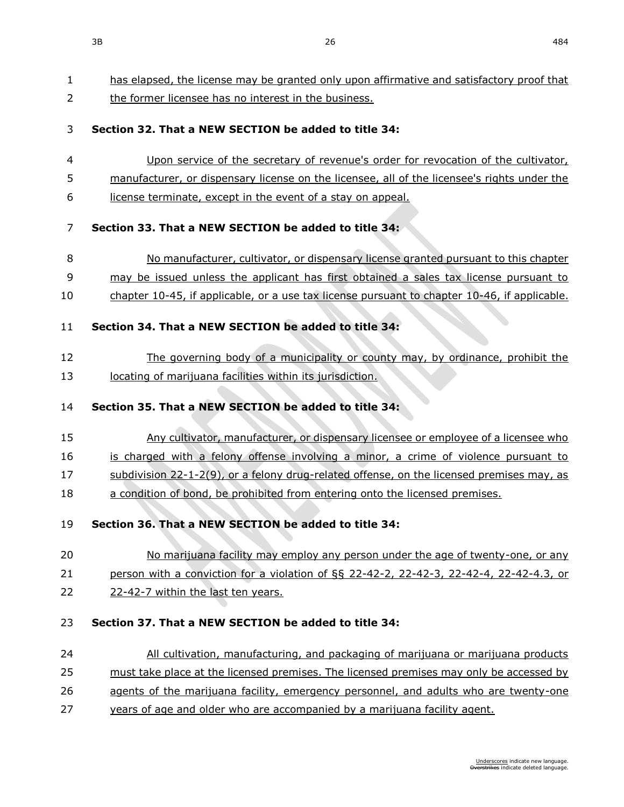has elapsed, the license may be granted only upon affirmative and satisfactory proof that

2 the former licensee has no interest in the business. **Section 32. That a NEW SECTION be added to title 34:** Upon service of the secretary of revenue's order for revocation of the cultivator, 5 manufacturer, or dispensary license on the licensee, all of the licensee's rights under the license terminate, except in the event of a stay on appeal. **Section 33. That a NEW SECTION be added to title 34:** No manufacturer, cultivator, or dispensary license granted pursuant to this chapter may be issued unless the applicant has first obtained a sales tax license pursuant to chapter [10-45,](https://sdlegislature.gov/Statutes?Statute=10-45) if applicable, or a use tax license pursuant to chapter [10-46,](https://sdlegislature.gov/Statutes?Statute=10-46) if applicable. **Section 34. That a NEW SECTION be added to title 34:** The governing body of a municipality or county may, by ordinance, prohibit the 13 locating of marijuana facilities within its jurisdiction. **Section 35. That a NEW SECTION be added to title 34:** Any cultivator, manufacturer, or dispensary licensee or employee of a licensee who is charged with a felony offense involving a minor, a crime of violence pursuant to subdivision [22-1-2\(](https://sdlegislature.gov/Statutes?Statute=22-1-2)9), or a felony drug-related offense, on the licensed premises may, as 18 a condition of bond, be prohibited from entering onto the licensed premises. **Section 36. That a NEW SECTION be added to title 34:** 20 No marijuana facility may employ any person under the age of twenty-one, or any person with a conviction for a violation of §§ [22-42-2,](https://sdlegislature.gov/Statutes?Statute=22-42-2) [22-42-3,](https://sdlegislature.gov/Statutes?Statute=22-42-3) [22-42-4, 22-42-4.](https://sdlegislature.gov/Statutes?Statute=22-42-4)3, or [22-42-7](https://sdlegislature.gov/Statutes?Statute=22-42-7) within the last ten years. **Section 37. That a NEW SECTION be added to title 34:** All cultivation, manufacturing, and packaging of marijuana or marijuana products must take place at the licensed premises. The licensed premises may only be accessed by 26 agents of the marijuana facility, emergency personnel, and adults who are twenty-one years of age and older who are accompanied by a marijuana facility agent.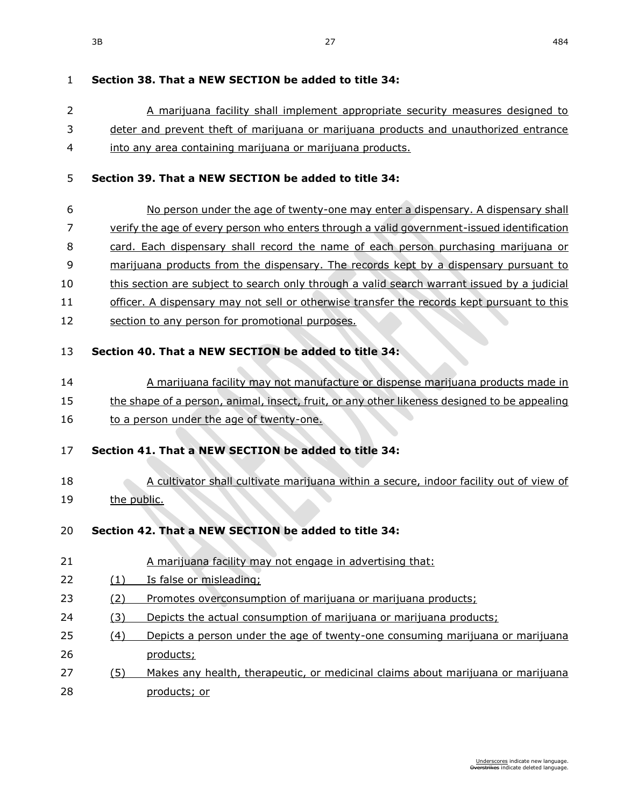# **Section 38. That a NEW SECTION be added to title 34:**

- A marijuana facility shall implement appropriate security measures designed to 3 deter and prevent theft of marijuana or marijuana products and unauthorized entrance
- into any area containing marijuana or marijuana products.

### **Section 39. That a NEW SECTION be added to title 34:**

- 6 No person under the age of twenty-one may enter a dispensary. A dispensary shall verify the age of every person who enters through a valid government-issued identification 8 card. Each dispensary shall record the name of each person purchasing marijuana or marijuana products from the dispensary. The records kept by a dispensary pursuant to this section are subject to search only through a valid search warrant issued by a judicial 11 officer. A dispensary may not sell or otherwise transfer the records kept pursuant to this
- 12 section to any person for promotional purposes.

# **Section 40. That a NEW SECTION be added to title 34:**

- A marijuana facility may not manufacture or dispense marijuana products made in
- 15 the shape of a person, animal, insect, fruit, or any other likeness designed to be appealing
- 16 to a person under the age of twenty-one.
- **Section 41. That a NEW SECTION be added to title 34:**
- A cultivator shall cultivate marijuana within a secure, indoor facility out of view of the public.
- **Section 42. That a NEW SECTION be added to title 34:**
- A marijuana facility may not engage in advertising that:
- (1) Is false or misleading;

# (2) Promotes overconsumption of marijuana or marijuana products;

- 24 (3) Depicts the actual consumption of marijuana or marijuana products;
- (4) Depicts a person under the age of twenty-one consuming marijuana or marijuana products;
- (5) Makes any health, therapeutic, or medicinal claims about marijuana or marijuana products; or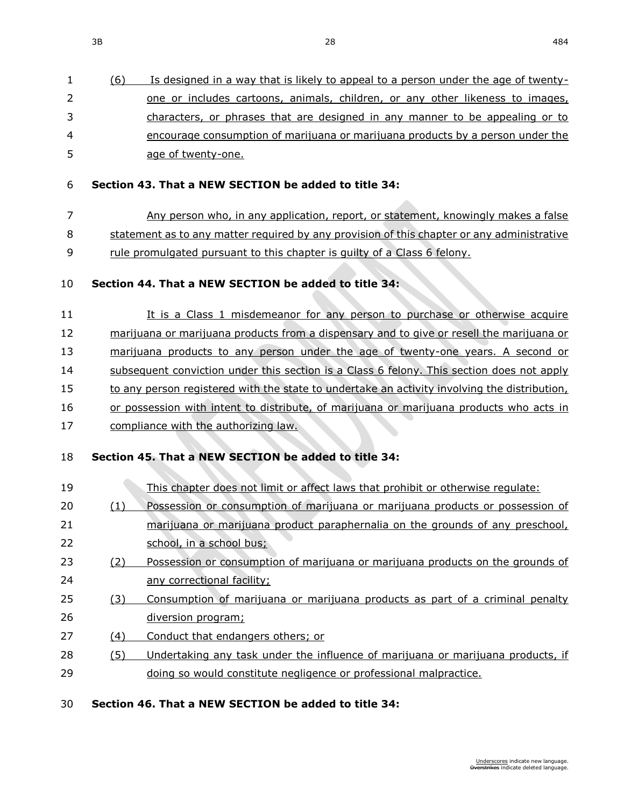|    | (6) | Is designed in a way that is likely to appeal to a person under the age of twenty- |
|----|-----|------------------------------------------------------------------------------------|
| 2  |     | one or includes cartoons, animals, children, or any other likeness to images,      |
| 3  |     | characters, or phrases that are designed in any manner to be appealing or to       |
| 4  |     | encourage consumption of marijuana or marijuana products by a person under the     |
| 5. |     | age of twenty-one.                                                                 |

#### **Section 43. That a NEW SECTION be added to title 34:**

Any person who, in any application, report, or statement, knowingly makes a false

statement as to any matter required by any provision of this chapter or any administrative

rule promulgated pursuant to this chapter is guilty of a Class 6 felony.

### **Section 44. That a NEW SECTION be added to title 34:**

11 It is a Class 1 misdemeanor for any person to purchase or otherwise acquire marijuana or marijuana products from a dispensary and to give or resell the marijuana or marijuana products to any person under the age of twenty-one years. A second or 14 subsequent conviction under this section is a Class 6 felony. This section does not apply 15 to any person registered with the state to undertake an activity involving the distribution, 16 or possession with intent to distribute, of marijuana or marijuana products who acts in 17 compliance with the authorizing law.

### **Section 45. That a NEW SECTION be added to title 34:**

| 19 |     | This chapter does not limit or affect laws that prohibit or otherwise regulate: |
|----|-----|---------------------------------------------------------------------------------|
| 20 | (1) | Possession or consumption of marijuana or marijuana products or possession of   |
| 21 |     | marijuana or marijuana product paraphernalia on the grounds of any preschool,   |
| 22 |     | school, in a school bus;                                                        |
| 23 | (2) | Possession or consumption of marijuana or marijuana products on the grounds of  |
| 24 |     | any correctional facility;                                                      |
| 25 | (3) | Consumption of marijuana or marijuana products as part of a criminal penalty    |
| 26 |     | diversion program;                                                              |
| 27 | (4) | Conduct that endangers others; or                                               |
| 28 | (5) | Undertaking any task under the influence of marijuana or marijuana products, if |
| 29 |     | doing so would constitute negligence or professional malpractice.               |
|    |     |                                                                                 |

### **Section 46. That a NEW SECTION be added to title 34:**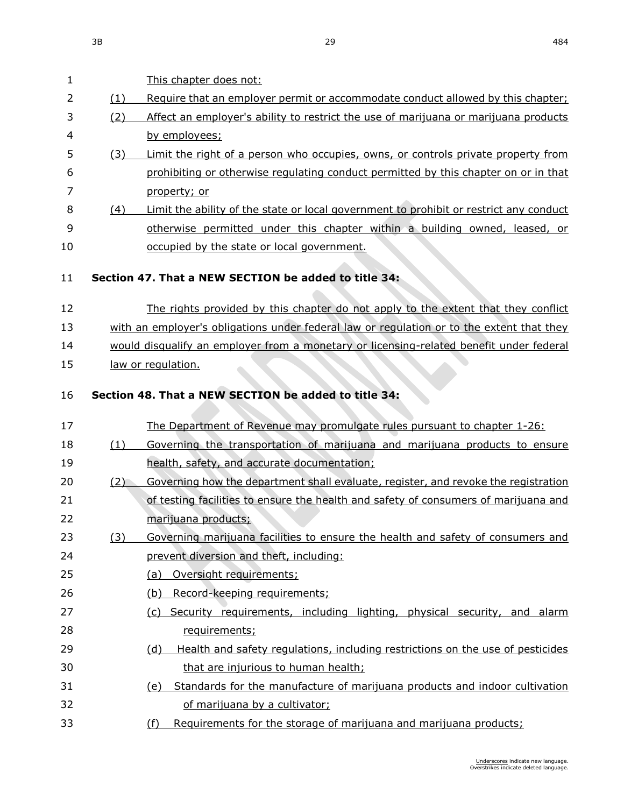This chapter does not:

2 (1) Require that an employer permit or accommodate conduct allowed by this chapter;

| 3  | (2) | Affect an employer's ability to restrict the use of marijuana or marijuana products       |
|----|-----|-------------------------------------------------------------------------------------------|
| 4  |     | by employees;                                                                             |
| 5  | (3) | Limit the right of a person who occupies, owns, or controls private property from         |
| 6  |     | prohibiting or otherwise regulating conduct permitted by this chapter on or in that       |
| 7  |     | property; or                                                                              |
| 8  | (4) | Limit the ability of the state or local government to prohibit or restrict any conduct    |
| 9  |     | otherwise permitted under this chapter within a building owned, leased, or                |
| 10 |     | occupied by the state or local government.                                                |
| 11 |     | Section 47. That a NEW SECTION be added to title 34:                                      |
| 12 |     | The rights provided by this chapter do not apply to the extent that they conflict         |
| 13 |     | with an employer's obligations under federal law or regulation or to the extent that they |
| 14 |     | would disqualify an employer from a monetary or licensing-related benefit under federal   |
| 15 |     | law or regulation.                                                                        |
| 16 |     | Section 48. That a NEW SECTION be added to title 34:                                      |
| 17 |     | The Department of Revenue may promulgate rules pursuant to chapter 1-26:                  |
| 18 | (1) | Governing the transportation of marijuana and marijuana products to ensure                |
| 19 |     | health, safety, and accurate documentation;                                               |
| 20 | (2) | Governing how the department shall evaluate, register, and revoke the registration        |
| 21 |     | of testing facilities to ensure the health and safety of consumers of marijuana and       |
|    |     |                                                                                           |

# **Section 47. That a NEW S**

- The rights provided by this chapter do not apply to the extent that they conflict with an employer's obligations under federal law or regulation or to the extent that they
- 15 law or regulation.

# **Section 48. That a NEW S**

17 The Department of Revenue may promulgate rules pursuant to chapter [1-26:](https://sdlegislature.gov/Statutes?Statute=1-26) (1) Governing the transportation of marijuana and marijuana products to ensure 19 health, safety, and accurate health, safety, and accurate the accurations 20 (2) Governing how the department shall evaluate, register, and revoke the registration of testing facilities to ensure the health and safety of consumers of marijuana and marijuana products; (3) Governing marijuana facilities to ensure the health and safety of consumers and prevent diversion and theft, including: (a) Oversight requirements; (b) Record-keeping requirements; (c) Security requirements, including lighting, physical security, and alarm requirements; (d) Health and safety regulations, including restrictions on the use of pesticides that are injurious to human health; (e) Standards for the manufacture of marijuana products and indoor cultivation of marijuana by a cultivator; (f) Requirements for the storage of marijuana and marijuana products;